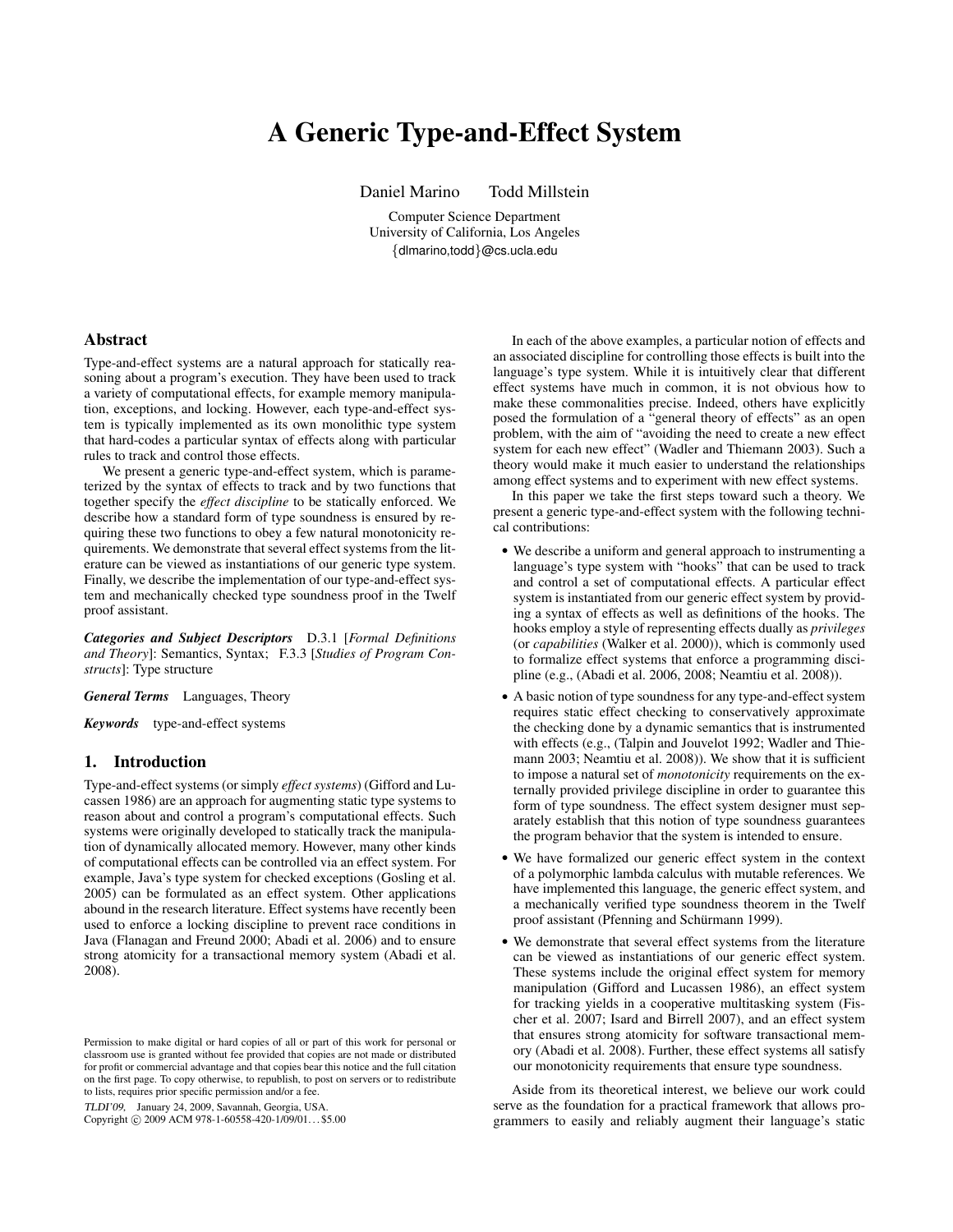# A Generic Type-and-Effect System

Daniel Marino Todd Millstein

Computer Science Department University of California, Los Angeles {dlmarino,todd}@cs.ucla.edu

## Abstract

Type-and-effect systems are a natural approach for statically reasoning about a program's execution. They have been used to track a variety of computational effects, for example memory manipulation, exceptions, and locking. However, each type-and-effect system is typically implemented as its own monolithic type system that hard-codes a particular syntax of effects along with particular rules to track and control those effects.

We present a generic type-and-effect system, which is parameterized by the syntax of effects to track and by two functions that together specify the *effect discipline* to be statically enforced. We describe how a standard form of type soundness is ensured by requiring these two functions to obey a few natural monotonicity requirements. We demonstrate that several effect systems from the literature can be viewed as instantiations of our generic type system. Finally, we describe the implementation of our type-and-effect system and mechanically checked type soundness proof in the Twelf proof assistant.

*Categories and Subject Descriptors* D.3.1 [*Formal Definitions and Theory*]: Semantics, Syntax; F.3.3 [*Studies of Program Constructs*]: Type structure

*General Terms* Languages, Theory

*Keywords* type-and-effect systems

## 1. Introduction

Type-and-effect systems (or simply *effect systems*) (Gifford and Lucassen 1986) are an approach for augmenting static type systems to reason about and control a program's computational effects. Such systems were originally developed to statically track the manipulation of dynamically allocated memory. However, many other kinds of computational effects can be controlled via an effect system. For example, Java's type system for checked exceptions (Gosling et al. 2005) can be formulated as an effect system. Other applications abound in the research literature. Effect systems have recently been used to enforce a locking discipline to prevent race conditions in Java (Flanagan and Freund 2000; Abadi et al. 2006) and to ensure strong atomicity for a transactional memory system (Abadi et al. 2008).

TLDI'09, January 24, 2009, Savannah, Georgia, USA.

Copyright © 2009 ACM 978-1-60558-420-1/09/01... \$5.00

In each of the above examples, a particular notion of effects and an associated discipline for controlling those effects is built into the language's type system. While it is intuitively clear that different effect systems have much in common, it is not obvious how to make these commonalities precise. Indeed, others have explicitly posed the formulation of a "general theory of effects" as an open problem, with the aim of "avoiding the need to create a new effect system for each new effect" (Wadler and Thiemann 2003). Such a theory would make it much easier to understand the relationships among effect systems and to experiment with new effect systems.

In this paper we take the first steps toward such a theory. We present a generic type-and-effect system with the following technical contributions:

- We describe a uniform and general approach to instrumenting a language's type system with "hooks" that can be used to track and control a set of computational effects. A particular effect system is instantiated from our generic effect system by providing a syntax of effects as well as definitions of the hooks. The hooks employ a style of representing effects dually as *privileges* (or *capabilities* (Walker et al. 2000)), which is commonly used to formalize effect systems that enforce a programming discipline (e.g., (Abadi et al. 2006, 2008; Neamtiu et al. 2008)).
- A basic notion of type soundness for any type-and-effect system requires static effect checking to conservatively approximate the checking done by a dynamic semantics that is instrumented with effects (e.g., (Talpin and Jouvelot 1992; Wadler and Thiemann 2003; Neamtiu et al. 2008)). We show that it is sufficient to impose a natural set of *monotonicity* requirements on the externally provided privilege discipline in order to guarantee this form of type soundness. The effect system designer must separately establish that this notion of type soundness guarantees the program behavior that the system is intended to ensure.
- We have formalized our generic effect system in the context of a polymorphic lambda calculus with mutable references. We have implemented this language, the generic effect system, and a mechanically verified type soundness theorem in the Twelf proof assistant (Pfenning and Schürmann 1999).
- We demonstrate that several effect systems from the literature can be viewed as instantiations of our generic effect system. These systems include the original effect system for memory manipulation (Gifford and Lucassen 1986), an effect system for tracking yields in a cooperative multitasking system (Fischer et al. 2007; Isard and Birrell 2007), and an effect system that ensures strong atomicity for software transactional memory (Abadi et al. 2008). Further, these effect systems all satisfy our monotonicity requirements that ensure type soundness.

Aside from its theoretical interest, we believe our work could serve as the foundation for a practical framework that allows programmers to easily and reliably augment their language's static

Permission to make digital or hard copies of all or part of this work for personal or classroom use is granted without fee provided that copies are not made or distributed for profit or commercial advantage and that copies bear this notice and the full citation on the first page. To copy otherwise, to republish, to post on servers or to redistribute to lists, requires prior specific permission and/or a fee.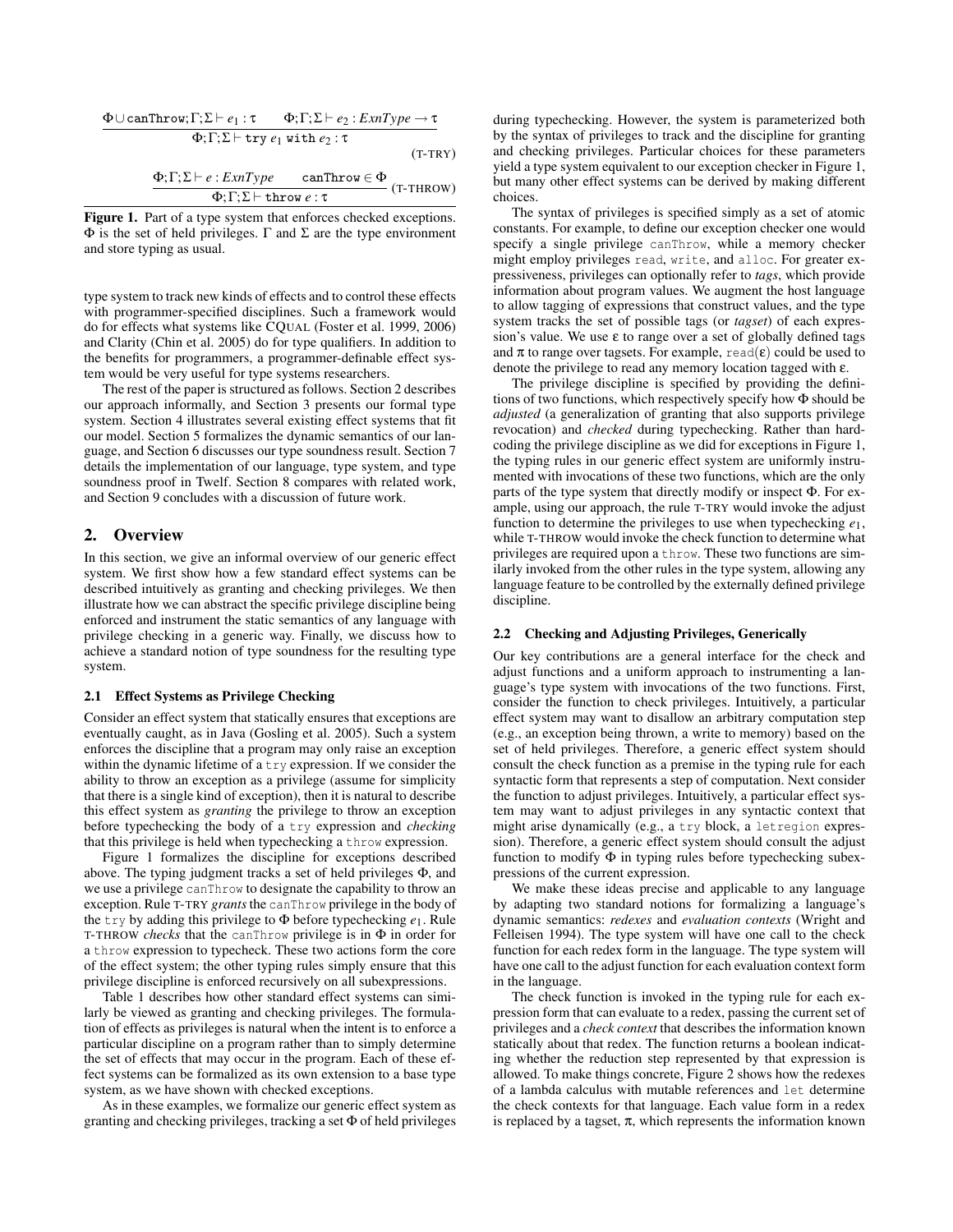$$
\frac{\Phi \cup \text{canThrow}; \Gamma; \Sigma \vdash e_1 : \tau \qquad \Phi; \Gamma; \Sigma \vdash e_2 : ExnType \rightarrow \tau}{\Phi; \Gamma; \Sigma \vdash \text{try } e_1 \text{ with } e_2 : \tau}
$$
\n
$$
(T-TRY)
$$

$$
\frac{\Phi; \Gamma; \Sigma \vdash e : \text{ExnType} \qquad \text{canThrow} \in \Phi}{\Phi; \Gamma; \Sigma \vdash \text{throw } e : \tau} \text{ (T-THRow)}
$$

Figure 1. Part of a type system that enforces checked exceptions.  $Φ$  is the set of held privileges. Γ and Σ are the type environment and store typing as usual.

type system to track new kinds of effects and to control these effects with programmer-specified disciplines. Such a framework would do for effects what systems like CQUAL (Foster et al. 1999, 2006) and Clarity (Chin et al. 2005) do for type qualifiers. In addition to the benefits for programmers, a programmer-definable effect system would be very useful for type systems researchers.

The rest of the paper is structured as follows. Section 2 describes our approach informally, and Section 3 presents our formal type system. Section 4 illustrates several existing effect systems that fit our model. Section 5 formalizes the dynamic semantics of our language, and Section 6 discusses our type soundness result. Section 7 details the implementation of our language, type system, and type soundness proof in Twelf. Section 8 compares with related work, and Section 9 concludes with a discussion of future work.

# 2. Overview

In this section, we give an informal overview of our generic effect system. We first show how a few standard effect systems can be described intuitively as granting and checking privileges. We then illustrate how we can abstract the specific privilege discipline being enforced and instrument the static semantics of any language with privilege checking in a generic way. Finally, we discuss how to achieve a standard notion of type soundness for the resulting type system.

#### 2.1 Effect Systems as Privilege Checking

Consider an effect system that statically ensures that exceptions are eventually caught, as in Java (Gosling et al. 2005). Such a system enforces the discipline that a program may only raise an exception within the dynamic lifetime of a try expression. If we consider the ability to throw an exception as a privilege (assume for simplicity that there is a single kind of exception), then it is natural to describe this effect system as *granting* the privilege to throw an exception before typechecking the body of a try expression and *checking* that this privilege is held when typechecking a throw expression.

Figure 1 formalizes the discipline for exceptions described above. The typing judgment tracks a set of held privileges Φ, and we use a privilege canThrow to designate the capability to throw an exception. Rule T-TRY *grants*the canThrow privilege in the body of the try by adding this privilege to Φ before typechecking *e*1. Rule T-THROW *checks* that the canThrow privilege is in Φ in order for a throw expression to typecheck. These two actions form the core of the effect system; the other typing rules simply ensure that this privilege discipline is enforced recursively on all subexpressions.

Table 1 describes how other standard effect systems can similarly be viewed as granting and checking privileges. The formulation of effects as privileges is natural when the intent is to enforce a particular discipline on a program rather than to simply determine the set of effects that may occur in the program. Each of these effect systems can be formalized as its own extension to a base type system, as we have shown with checked exceptions.

As in these examples, we formalize our generic effect system as granting and checking privileges, tracking a set Φ of held privileges during typechecking. However, the system is parameterized both by the syntax of privileges to track and the discipline for granting and checking privileges. Particular choices for these parameters yield a type system equivalent to our exception checker in Figure 1, but many other effect systems can be derived by making different choices.

The syntax of privileges is specified simply as a set of atomic constants. For example, to define our exception checker one would specify a single privilege canThrow, while a memory checker might employ privileges read, write, and alloc. For greater expressiveness, privileges can optionally refer to *tags*, which provide information about program values. We augment the host language to allow tagging of expressions that construct values, and the type system tracks the set of possible tags (or *tagset*) of each expression's value. We use  $\varepsilon$  to range over a set of globally defined tags and  $\pi$  to range over tagsets. For example, read( $\varepsilon$ ) could be used to denote the privilege to read any memory location tagged with ε.

The privilege discipline is specified by providing the definitions of two functions, which respectively specify how Φ should be *adjusted* (a generalization of granting that also supports privilege revocation) and *checked* during typechecking. Rather than hardcoding the privilege discipline as we did for exceptions in Figure 1, the typing rules in our generic effect system are uniformly instrumented with invocations of these two functions, which are the only parts of the type system that directly modify or inspect Φ. For example, using our approach, the rule T-TRY would invoke the adjust function to determine the privileges to use when typechecking *e*1, while T-THROW would invoke the check function to determine what privileges are required upon a throw. These two functions are similarly invoked from the other rules in the type system, allowing any language feature to be controlled by the externally defined privilege discipline.

#### 2.2 Checking and Adjusting Privileges, Generically

Our key contributions are a general interface for the check and adjust functions and a uniform approach to instrumenting a language's type system with invocations of the two functions. First, consider the function to check privileges. Intuitively, a particular effect system may want to disallow an arbitrary computation step (e.g., an exception being thrown, a write to memory) based on the set of held privileges. Therefore, a generic effect system should consult the check function as a premise in the typing rule for each syntactic form that represents a step of computation. Next consider the function to adjust privileges. Intuitively, a particular effect system may want to adjust privileges in any syntactic context that might arise dynamically (e.g., a try block, a letregion expression). Therefore, a generic effect system should consult the adjust function to modify  $\Phi$  in typing rules before typechecking subexpressions of the current expression.

We make these ideas precise and applicable to any language by adapting two standard notions for formalizing a language's dynamic semantics: *redexes* and *evaluation contexts* (Wright and Felleisen 1994). The type system will have one call to the check function for each redex form in the language. The type system will have one call to the adjust function for each evaluation context form in the language.

The check function is invoked in the typing rule for each expression form that can evaluate to a redex, passing the current set of privileges and a *check context* that describes the information known statically about that redex. The function returns a boolean indicating whether the reduction step represented by that expression is allowed. To make things concrete, Figure 2 shows how the redexes of a lambda calculus with mutable references and let determine the check contexts for that language. Each value form in a redex is replaced by a tagset,  $\pi$ , which represents the information known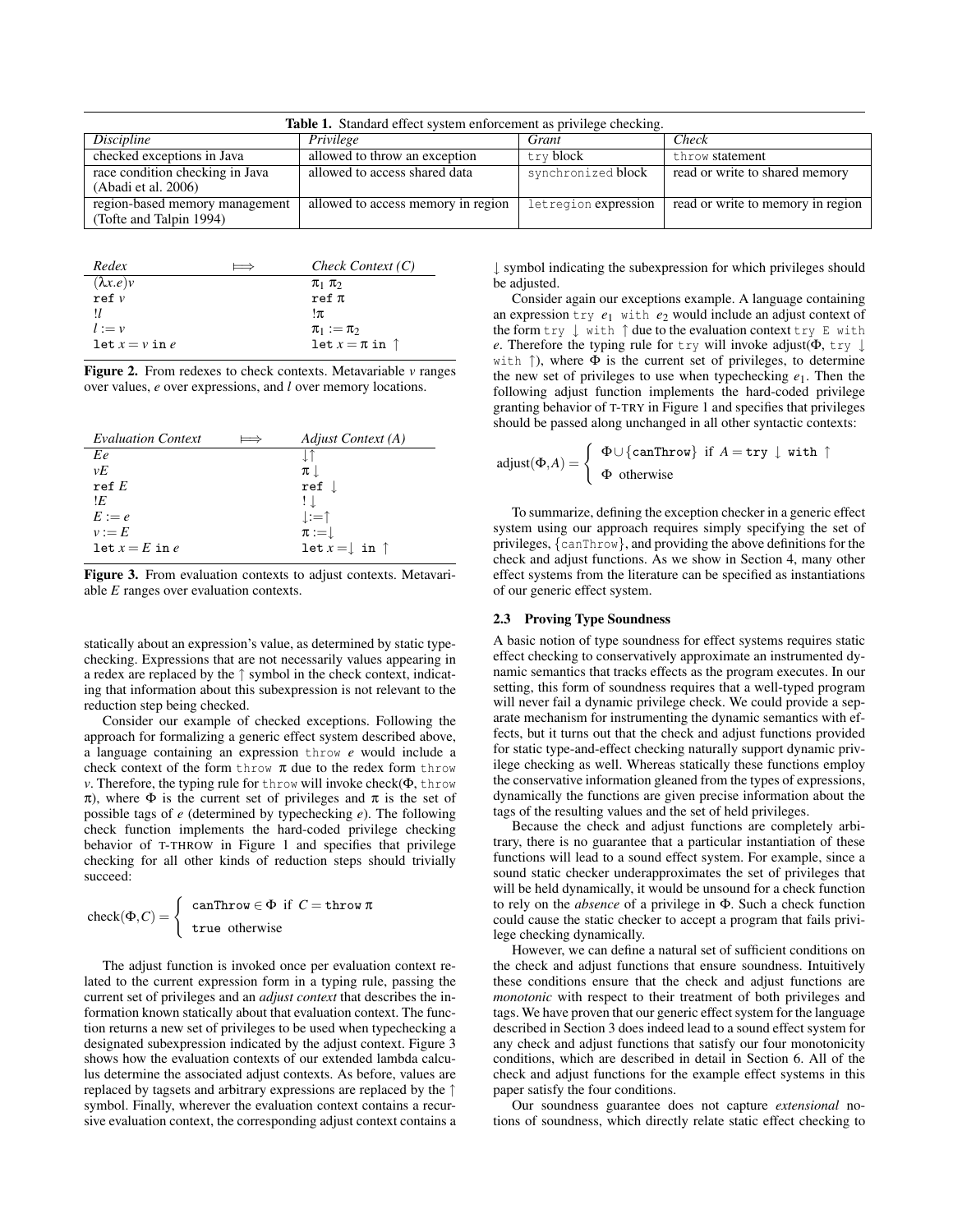| <b>Table 1.</b> Standard effect system enforcement as privilege checking. |                                    |                      |                                   |
|---------------------------------------------------------------------------|------------------------------------|----------------------|-----------------------------------|
| Discipline                                                                | Privilege                          | Grant                | Check                             |
| checked exceptions in Java                                                | allowed to throw an exception      | try block            | throw statement                   |
| race condition checking in Java                                           | allowed to access shared data      | synchronized block   | read or write to shared memory    |
| (Abadi et al. 2006)                                                       |                                    |                      |                                   |
| region-based memory management                                            | allowed to access memory in region | letregion expression | read or write to memory in region |
| (Tofte and Talpin 1994)                                                   |                                    |                      |                                   |

| Redex            | -- | Check Context $(C)$         |
|------------------|----|-----------------------------|
| $(\lambda x.e)v$ |    | $\pi_1$ $\pi_2$             |
| ref v            |    | $ref \pi$                   |
|                  |    | !π                          |
| $l := v$         |    | $\pi_1 := \pi_2$            |
| $let x = v in e$ |    | let $x = \pi$ in $\uparrow$ |

Figure 2. From redexes to check contexts. Metavariable *v* ranges over values, *e* over expressions, and *l* over memory locations.

| <b>Evaluation Context</b> | Adjust Context (A)                 |
|---------------------------|------------------------------------|
| Ee                        |                                    |
| $\nu E$                   | $\pi$ .                            |
| ref $E$                   | ref                                |
| ١E                        | $\perp$                            |
| $E := e$                  | $\perp := \uparrow$                |
| $v := E$                  | $\pi :=$                           |
| let $x = E$ in e          | let $x = \downarrow$ in $\uparrow$ |

Figure 3. From evaluation contexts to adjust contexts. Metavariable *E* ranges over evaluation contexts.

statically about an expression's value, as determined by static typechecking. Expressions that are not necessarily values appearing in a redex are replaced by the ↑ symbol in the check context, indicating that information about this subexpression is not relevant to the reduction step being checked.

Consider our example of checked exceptions. Following the approach for formalizing a generic effect system described above, a language containing an expression throw *e* would include a check context of the form throw  $\pi$  due to the redex form throw *v*. Therefore, the typing rule for throw will invoke check(Φ, throw  $π$ ), where  $Φ$  is the current set of privileges and  $π$  is the set of possible tags of *e* (determined by typechecking *e*). The following check function implements the hard-coded privilege checking behavior of T-THROW in Figure 1 and specifies that privilege checking for all other kinds of reduction steps should trivially succeed:

$$
\operatorname{check}(\Phi, C) = \begin{cases} \operatorname{canThrow} \in \Phi & \text{if } C = \operatorname{throw} \pi \\ \text{true otherwise} \end{cases}
$$

The adjust function is invoked once per evaluation context related to the current expression form in a typing rule, passing the current set of privileges and an *adjust context* that describes the information known statically about that evaluation context. The function returns a new set of privileges to be used when typechecking a designated subexpression indicated by the adjust context. Figure 3 shows how the evaluation contexts of our extended lambda calculus determine the associated adjust contexts. As before, values are replaced by tagsets and arbitrary expressions are replaced by the ↑ symbol. Finally, wherever the evaluation context contains a recursive evaluation context, the corresponding adjust context contains a

↓ symbol indicating the subexpression for which privileges should be adjusted.

Consider again our exceptions example. A language containing an expression try *e*<sup>1</sup> with *e*<sup>2</sup> would include an adjust context of the form try ↓ with ↑ due to the evaluation context try E with *e*. Therefore the typing rule for try will invoke adjust( $\Phi$ , try  $\downarrow$ with  $\uparrow$ ), where  $\Phi$  is the current set of privileges, to determine the new set of privileges to use when typechecking *e*1. Then the following adjust function implements the hard-coded privilege granting behavior of T-TRY in Figure 1 and specifies that privileges should be passed along unchanged in all other syntactic contexts:

$$
adjust(\Phi, A) = \begin{cases} \Phi \cup \{ \text{canThrow} \} & \text{if } A = \text{try } \downarrow \text{ with } \uparrow \\ \Phi & \text{otherwise} \end{cases}
$$

To summarize, defining the exception checker in a generic effect system using our approach requires simply specifying the set of privileges, {canThrow}, and providing the above definitions for the check and adjust functions. As we show in Section 4, many other effect systems from the literature can be specified as instantiations of our generic effect system.

#### 2.3 Proving Type Soundness

A basic notion of type soundness for effect systems requires static effect checking to conservatively approximate an instrumented dynamic semantics that tracks effects as the program executes. In our setting, this form of soundness requires that a well-typed program will never fail a dynamic privilege check. We could provide a separate mechanism for instrumenting the dynamic semantics with effects, but it turns out that the check and adjust functions provided for static type-and-effect checking naturally support dynamic privilege checking as well. Whereas statically these functions employ the conservative information gleaned from the types of expressions, dynamically the functions are given precise information about the tags of the resulting values and the set of held privileges.

Because the check and adjust functions are completely arbitrary, there is no guarantee that a particular instantiation of these functions will lead to a sound effect system. For example, since a sound static checker underapproximates the set of privileges that will be held dynamically, it would be unsound for a check function to rely on the *absence* of a privilege in Φ. Such a check function could cause the static checker to accept a program that fails privilege checking dynamically.

However, we can define a natural set of sufficient conditions on the check and adjust functions that ensure soundness. Intuitively these conditions ensure that the check and adjust functions are *monotonic* with respect to their treatment of both privileges and tags. We have proven that our generic effect system for the language described in Section 3 does indeed lead to a sound effect system for any check and adjust functions that satisfy our four monotonicity conditions, which are described in detail in Section 6. All of the check and adjust functions for the example effect systems in this paper satisfy the four conditions.

Our soundness guarantee does not capture *extensional* notions of soundness, which directly relate static effect checking to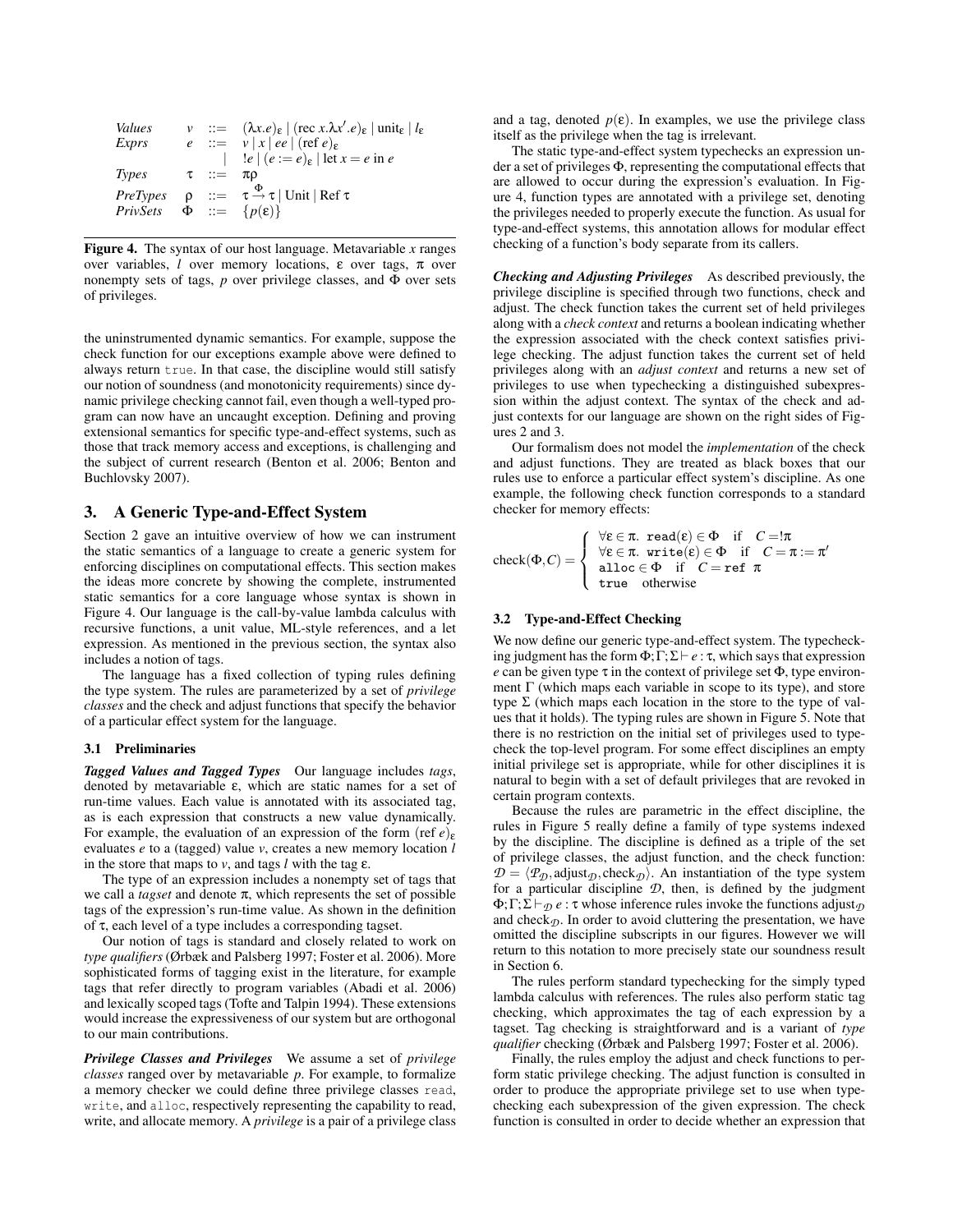| Values                                  |            | $v$ ::= $(\lambda x.e)_{\varepsilon}$   (rec x. $\lambda x'.e)_{\varepsilon}$   unit <sub>e</sub>   $l_{\varepsilon}$ |
|-----------------------------------------|------------|-----------------------------------------------------------------------------------------------------------------------|
| Exprs                                   |            | $e$ := $v  x  e e  (\text{ref } e)_e$                                                                                 |
|                                         |            | $!e \mid (e := e)_{\varepsilon}$   let $x = e$ in $e$                                                                 |
| Types                                   | $\tau$ ::= | πο                                                                                                                    |
| <i>PreTypes</i>                         |            | $\rho$ ::= $\tau \stackrel{\Phi}{\rightarrow} \tau$   Unit   Ref $\tau$                                               |
| PrivSets $\Phi ::= \{p(\varepsilon)\}\$ |            |                                                                                                                       |
|                                         |            |                                                                                                                       |

Figure 4. The syntax of our host language. Metavariable *x* ranges over variables, *l* over memory locations, ε over tags, π over nonempty sets of tags,  $p$  over privilege classes, and  $\Phi$  over sets of privileges.

the uninstrumented dynamic semantics. For example, suppose the check function for our exceptions example above were defined to always return true. In that case, the discipline would still satisfy our notion of soundness (and monotonicity requirements) since dynamic privilege checking cannot fail, even though a well-typed program can now have an uncaught exception. Defining and proving extensional semantics for specific type-and-effect systems, such as those that track memory access and exceptions, is challenging and the subject of current research (Benton et al. 2006; Benton and Buchlovsky 2007).

# 3. A Generic Type-and-Effect System

Section 2 gave an intuitive overview of how we can instrument the static semantics of a language to create a generic system for enforcing disciplines on computational effects. This section makes the ideas more concrete by showing the complete, instrumented static semantics for a core language whose syntax is shown in Figure 4. Our language is the call-by-value lambda calculus with recursive functions, a unit value, ML-style references, and a let expression. As mentioned in the previous section, the syntax also includes a notion of tags.

The language has a fixed collection of typing rules defining the type system. The rules are parameterized by a set of *privilege classes* and the check and adjust functions that specify the behavior of a particular effect system for the language.

## 3.1 Preliminaries

*Tagged Values and Tagged Types* Our language includes *tags*, denoted by metavariable ε, which are static names for a set of run-time values. Each value is annotated with its associated tag, as is each expression that constructs a new value dynamically. For example, the evaluation of an expression of the form (ref  $e$ )<sub>ε</sub> evaluates *e* to a (tagged) value *v*, creates a new memory location *l* in the store that maps to  $v$ , and tags  $l$  with the tag  $\varepsilon$ .

The type of an expression includes a nonempty set of tags that we call a *tagset* and denote π, which represents the set of possible tags of the expression's run-time value. As shown in the definition of τ, each level of a type includes a corresponding tagset.

Our notion of tags is standard and closely related to work on *type qualifiers* (Ørbæk and Palsberg 1997; Foster et al. 2006). More sophisticated forms of tagging exist in the literature, for example tags that refer directly to program variables (Abadi et al. 2006) and lexically scoped tags (Tofte and Talpin 1994). These extensions would increase the expressiveness of our system but are orthogonal to our main contributions.

*Privilege Classes and Privileges* We assume a set of *privilege classes* ranged over by metavariable *p*. For example, to formalize a memory checker we could define three privilege classes read, write, and alloc, respectively representing the capability to read, write, and allocate memory. A *privilege* is a pair of a privilege class

and a tag, denoted  $p(\varepsilon)$ . In examples, we use the privilege class itself as the privilege when the tag is irrelevant.

The static type-and-effect system typechecks an expression under a set of privileges Φ, representing the computational effects that are allowed to occur during the expression's evaluation. In Figure 4, function types are annotated with a privilege set, denoting the privileges needed to properly execute the function. As usual for type-and-effect systems, this annotation allows for modular effect checking of a function's body separate from its callers.

*Checking and Adjusting Privileges* As described previously, the privilege discipline is specified through two functions, check and adjust. The check function takes the current set of held privileges along with a *check context* and returns a boolean indicating whether the expression associated with the check context satisfies privilege checking. The adjust function takes the current set of held privileges along with an *adjust context* and returns a new set of privileges to use when typechecking a distinguished subexpression within the adjust context. The syntax of the check and adjust contexts for our language are shown on the right sides of Figures 2 and 3.

Our formalism does not model the *implementation* of the check and adjust functions. They are treated as black boxes that our rules use to enforce a particular effect system's discipline. As one example, the following check function corresponds to a standard checker for memory effects:

$$
\operatorname{check}(\Phi,C) = \left\{ \begin{array}{ll} \forall \varepsilon \in \pi.\;\; \text{read}(\varepsilon) \in \Phi \quad \text{if} \quad C = !\pi \\ \forall \varepsilon \in \pi.\;\; \text{write}(\varepsilon) \in \Phi \quad \text{if} \quad C = \pi := \pi' \\ \text{alloc} \in \Phi \quad \text{if} \quad C = \text{ref} \enspace \pi \\ \text{true} \quad \text{otherwise} \end{array} \right.
$$

#### 3.2 Type-and-Effect Checking

We now define our generic type-and-effect system. The typechecking judgment has the form  $\Phi$ ;  $\Gamma$ ;  $\Sigma \vdash e : \tau$ , which says that expression *e* can be given type  $\tau$  in the context of privilege set  $\Phi$ , type environment  $\Gamma$  (which maps each variable in scope to its type), and store type  $\Sigma$  (which maps each location in the store to the type of values that it holds). The typing rules are shown in Figure 5. Note that there is no restriction on the initial set of privileges used to typecheck the top-level program. For some effect disciplines an empty initial privilege set is appropriate, while for other disciplines it is natural to begin with a set of default privileges that are revoked in certain program contexts.

Because the rules are parametric in the effect discipline, the rules in Figure 5 really define a family of type systems indexed by the discipline. The discipline is defined as a triple of the set of privilege classes, the adjust function, and the check function:  $\mathcal{D} = \langle P_{\mathcal{D}}$ , adjust<sub> $\mathcal{D}$ </sub>, check<sub> $\mathcal{D}$ </sub>). An instantiation of the type system for a particular discipline *D*, then, is defined by the judgment  $\Phi$ ;  $\Gamma$ ;  $\Sigma \vdash_{\eta} e$  :  $\tau$  whose inference rules invoke the functions adjust<sub> $\eta$ </sub> and check $\eta$ . In order to avoid cluttering the presentation, we have omitted the discipline subscripts in our figures. However we will return to this notation to more precisely state our soundness result in Section 6.

The rules perform standard typechecking for the simply typed lambda calculus with references. The rules also perform static tag checking, which approximates the tag of each expression by a tagset. Tag checking is straightforward and is a variant of *type qualifier* checking (Ørbæk and Palsberg 1997; Foster et al. 2006).

Finally, the rules employ the adjust and check functions to perform static privilege checking. The adjust function is consulted in order to produce the appropriate privilege set to use when typechecking each subexpression of the given expression. The check function is consulted in order to decide whether an expression that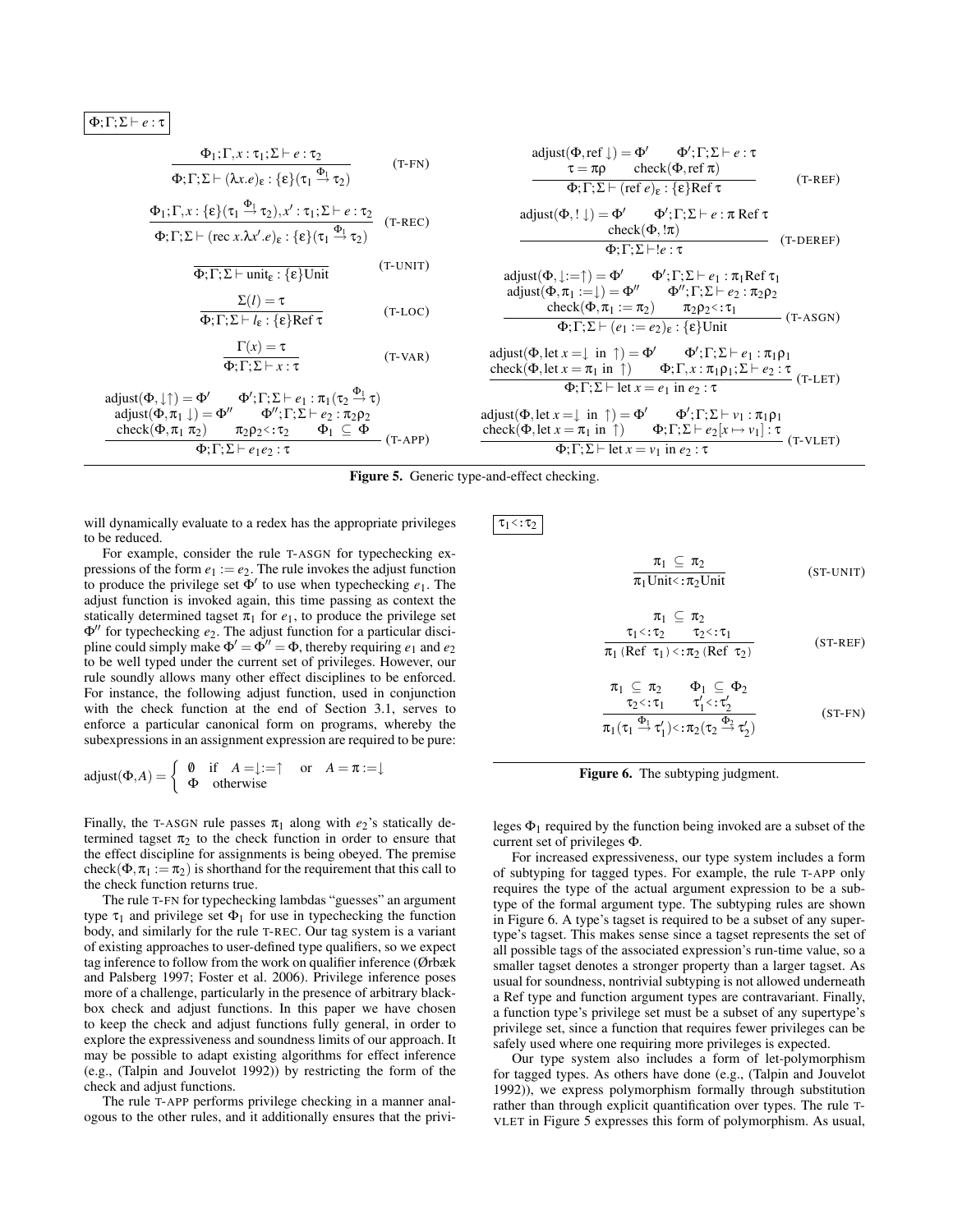$Φ; Γ;Σ ⊢ e: τ$ 

$$
\frac{\Phi_1;\Gamma,x:\tau_1;\Sigma \vdash e:\tau_2}{\Phi;\Gamma;\Sigma \vdash (\lambda x.e)_\epsilon:\{\epsilon\}(\tau_1 \xrightarrow{\Phi_1} \tau_2)} \qquad (\text{T-FN})
$$

$$
\frac{\Phi_1; \Gamma, x: \{\epsilon\}(\tau_1 \xrightarrow{\Phi_1} \tau_2), x': \tau_1; \Sigma \vdash e: \tau_2}{\Phi; \Gamma; \Sigma \vdash (\text{rec } x.\lambda x'. e)_{\epsilon}: \{\epsilon\}(\tau_1 \xrightarrow{\Phi_1} \tau_2)}
$$
 (T-REC)

 $\overline{\Phi; \Gamma; \Sigma \vdash \text{unit}_{\varepsilon} : \{\varepsilon\} \text{Unit}}$  (T-UNIT)

$$
\frac{\Sigma(l) = \tau}{\Phi; \Gamma; \Sigma \vdash l_{\varepsilon} : \{\varepsilon\} \text{Ref } \tau}
$$
\n(T-LOC)

$$
\frac{\Gamma(x) = \tau}{\Phi : \Gamma : \Sigma \vdash x : \tau}
$$
\n(T-VAR)

$$
\begin{array}{ll} \mathrm{adjust}(\Phi,\downarrow\uparrow)=\Phi' & \Phi';\Gamma;\Sigma\vdash e_1:\pi_1(\tau_2\xrightarrow{\Phi_1}\tau)\\ \mathrm{adjust}(\Phi,\pi_1\downarrow)=\Phi'' & \Phi'';\Gamma;\Sigma\vdash e_2:\pi_2\rho_2\\ \frac{\mathrm{check}(\Phi,\pi_1\,\pi_2)}{\Phi_1\Gamma;\Sigma\vdash e_1e_2:\tau} & \Phi_1\subseteq\Phi\\ \end{array}(\textsf{T-APP})
$$

$$
adjust(\Phi, ref \downarrow) = \Phi' \qquad \Phi'; \Gamma; \Sigma \vdash e : \tau
$$
\n
$$
\tau = \pi \rho \qquad check(\Phi, ref \pi)
$$
\n
$$
\Phi; \Gamma; \Sigma \vdash (ref \ e)_{\epsilon} : \{\epsilon\} Ref \tau
$$
\n
$$
(T-REF)
$$

$$
\begin{array}{ll}\n\text{adjust}(\Phi, ! \downarrow) = \Phi' & \Phi'; \Gamma; \Sigma \vdash e : \pi \text{ Ref } \tau \\
\hline\n\text{check}(\Phi, !\pi) & \\
\hline\n\Phi; \Gamma; \Sigma \vdash !e : \tau & \\
\end{array}\n\quad \text{(T-DEREF)}
$$

$$
\begin{array}{ll} \mathrm{adjust}(\Phi,\downarrow:=\uparrow)=\Phi' & \Phi';\Gamma;\Sigma\vdash e_1:\pi_1\mathrm{Ref}\,\tau_1\\ \mathrm{adjust}(\Phi,\pi_1:=\downarrow)=\Phi'' & \Phi'';\Gamma;\Sigma\vdash e_2:\pi_2\rho_2\\ \frac{\mathrm{check}(\Phi,\pi_1:=\pi_2)}{\Phi;\Gamma;\Sigma\vdash(e_1:=e_2)_\epsilon:\{\epsilon\}\mathrm{Unit}} & (\text{T-ASGN}) \end{array}
$$

adjust(Φ, let 
$$
x = \downarrow
$$
 in  $\uparrow$ ) = Φ'   
\ncheck(Φ, let  $x = \pi_1$  in  $\uparrow$ )   
\nΦ; Γ;  $x : \pi_1\rho_1$ ;  $\Sigma \vdash e_2 : \tau$   
\nΦ; Γ;  $\Sigma \vdash$  let  $x = e_1$  in  $e_2 : \tau$  (T-LET)

adjust(Φ, let 
$$
x = \downarrow
$$
 in  $\uparrow$ ) = Φ'   
\n $\Phi'; \Gamma; \Sigma \vdash v_1 : \pi_1 \rho_1$   
\ncheck(Φ, let  $x = \pi_1$  in  $\uparrow$ )   
\nΦ;  $\Gamma; \Sigma \vdash e_2[x \mapsto v_1] : \tau$   
\nΦ;  $\Gamma; \Sigma \vdash$  let  $x = v_1$  in  $e_2 : \tau$  (T-VLET)

Figure 5. Generic type-and-effect checking.

will dynamically evaluate to a redex has the appropriate privileges to be reduced.

For example, consider the rule T-ASGN for typechecking expressions of the form  $e_1 := e_2$ . The rule invokes the adjust function to produce the privilege set  $\Phi'$  to use when typechecking  $e_1$ . The adjust function is invoked again, this time passing as context the statically determined tagset  $\pi_1$  for  $e_1$ , to produce the privilege set  $Φ''$  for typechecking *e*<sub>2</sub>. The adjust function for a particular discipline could simply make  $\Phi' = \Phi'' = \Phi$ , thereby requiring  $e_1$  and  $e_2$ to be well typed under the current set of privileges. However, our rule soundly allows many other effect disciplines to be enforced. For instance, the following adjust function, used in conjunction with the check function at the end of Section 3.1, serves to enforce a particular canonical form on programs, whereby the subexpressions in an assignment expression are required to be pure:

$$
adjust(\Phi, A) = \begin{cases} \emptyset & \text{if } A = \downarrow := \uparrow \text{ or } A = \pi := \downarrow \\ \Phi & \text{otherwise} \end{cases}
$$

Finally, the T-ASGN rule passes  $\pi_1$  along with  $e_2$ 's statically determined tagset  $\pi_2$  to the check function in order to ensure that the effect discipline for assignments is being obeyed. The premise check( $\Phi, \pi_1 := \pi_2$ ) is shorthand for the requirement that this call to the check function returns true.

The rule T-FN for typechecking lambdas "guesses" an argument type  $\tau_1$  and privilege set  $\Phi_1$  for use in typechecking the function body, and similarly for the rule T-REC. Our tag system is a variant of existing approaches to user-defined type qualifiers, so we expect tag inference to follow from the work on qualifier inference (Ørbæk and Palsberg 1997; Foster et al. 2006). Privilege inference poses more of a challenge, particularly in the presence of arbitrary blackbox check and adjust functions. In this paper we have chosen to keep the check and adjust functions fully general, in order to explore the expressiveness and soundness limits of our approach. It may be possible to adapt existing algorithms for effect inference (e.g., (Talpin and Jouvelot 1992)) by restricting the form of the check and adjust functions.

The rule T-APP performs privilege checking in a manner analogous to the other rules, and it additionally ensures that the privi $\tau_1$  <:  $\tau_2$ 

$$
\frac{\pi_1 \subseteq \pi_2}{\pi_1 \text{Unit} \cdot \pi_2 \text{Unit}} \qquad \text{(ST-UNIT)}
$$
\n
$$
\frac{\pi_1 \subseteq \pi_2}{\pi_1 \cdot (\text{Ref } \tau_1) \cdot \pi_2 \cdot (\text{Ref } \tau_2)} \qquad \text{(ST-REF)}
$$
\n
$$
\frac{\pi_1 \subseteq \pi_2}{\pi_2 \cdot \pi_1 \cdot \pi_2 \cdot (\text{Ref } \tau_2)} \qquad \text{(ST-REF)}
$$
\n
$$
\frac{\pi_1 \subseteq \pi_2}{\pi_2 \cdot \pi_1 \cdot \pi_1' \cdot \pi_2' \cdot \pi_2' \cdot \pi_2' \cdot \pi_2' \cdot \pi_1' \cdot \pi_2' \cdot \pi_2' \cdot \pi_2' \cdot \pi_1' \cdot \pi_2' \cdot \pi_2' \cdot \pi_2' \cdot \pi_2' \cdot \pi_2' \cdot \pi_2' \cdot \pi_2' \cdot \pi_2' \cdot \pi_2' \cdot \pi_2' \cdot \pi_2' \cdot \pi_2' \cdot \pi_2' \cdot \pi_2' \cdot \pi_2' \cdot \pi_2' \cdot \pi_2' \cdot \pi_2' \cdot \pi_2' \cdot \pi_2' \cdot \pi_2' \cdot \pi_2' \cdot \pi_2' \cdot \pi_2' \cdot \pi_2' \cdot \pi_2' \cdot \pi_2' \cdot \pi_2' \cdot \pi_2' \cdot \pi_2' \cdot \pi_2' \cdot \pi_2' \cdot \pi_2' \cdot \pi_2' \cdot \pi_2' \cdot \pi_2' \cdot \pi_2' \cdot \pi_2' \cdot \pi_2' \cdot \pi_2' \cdot \pi_2' \cdot \pi_2' \cdot \pi_2' \cdot \pi_2' \cdot \pi_2' \cdot \pi_2' \cdot \pi_2' \cdot \pi_2' \cdot \pi_2' \cdot \pi_2' \cdot \pi_2' \cdot \pi_2' \cdot \pi_2' \cdot \pi_2' \cdot \pi_2' \cdot \pi_2' \cdot \pi_2' \cdot \pi_2' \cdot \pi_2' \cdot \pi_2' \cdot \pi_2' \cdot \pi_2' \cdot \pi_2' \cdot \pi_2' \cdot \pi_2' \cdot \pi_2' \cdot \pi_2' \cdot \pi_2' \cdot \pi_2' \cdot \pi_2' \cdot
$$

Figure 6. The subtyping judgment.

 $\pi_1(\tau_1 \stackrel{\Phi_1}{\rightarrow} \tau_1')$ <: $\pi_2(\tau_2 \stackrel{\Phi_2}{\rightarrow} \tau_2')$ 

leges  $\Phi_1$  required by the function being invoked are a subset of the current set of privileges Φ.

For increased expressiveness, our type system includes a form of subtyping for tagged types. For example, the rule T-APP only requires the type of the actual argument expression to be a subtype of the formal argument type. The subtyping rules are shown in Figure 6. A type's tagset is required to be a subset of any supertype's tagset. This makes sense since a tagset represents the set of all possible tags of the associated expression's run-time value, so a smaller tagset denotes a stronger property than a larger tagset. As usual for soundness, nontrivial subtyping is not allowed underneath a Ref type and function argument types are contravariant. Finally, a function type's privilege set must be a subset of any supertype's privilege set, since a function that requires fewer privileges can be safely used where one requiring more privileges is expected.

Our type system also includes a form of let-polymorphism for tagged types. As others have done (e.g., (Talpin and Jouvelot 1992)), we express polymorphism formally through substitution rather than through explicit quantification over types. The rule T-VLET in Figure 5 expresses this form of polymorphism. As usual,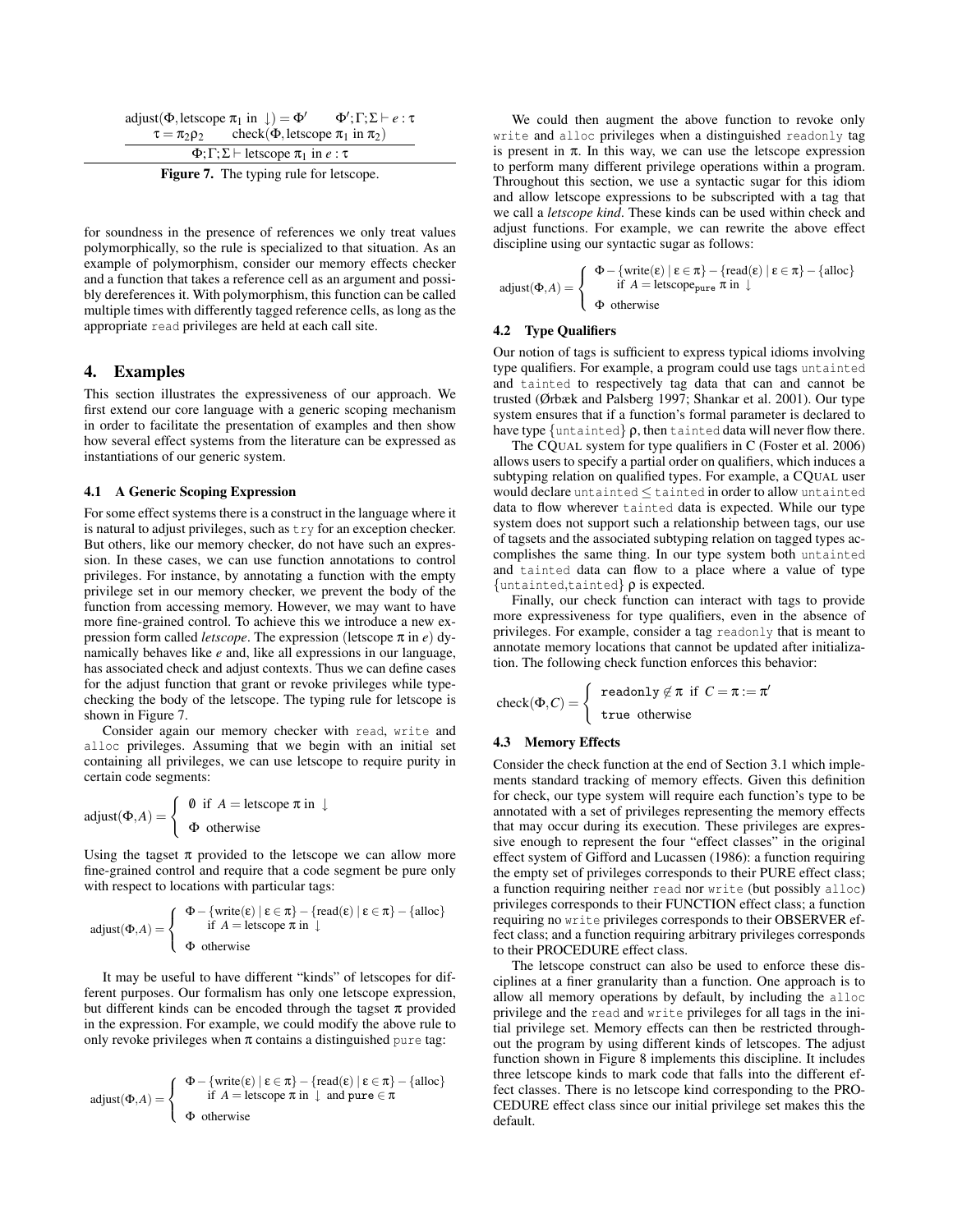| adjust( $\Phi$ , letscope $\pi_1$ in $\downarrow$ ) = $\Phi'$ |                                                                      | $\Phi';\Gamma;\Sigma \vdash e:\tau$ |
|---------------------------------------------------------------|----------------------------------------------------------------------|-------------------------------------|
|                                                               | $\tau = \pi_2 \rho_2$ check( $\Phi$ , letscope $\pi_1$ in $\pi_2$ )  |                                     |
|                                                               | $\Phi$ ; $\Gamma$ ; $\Sigma$ $\vdash$ letscope $\pi_1$ in $e : \tau$ |                                     |

Figure 7. The typing rule for letscope.

for soundness in the presence of references we only treat values polymorphically, so the rule is specialized to that situation. As an example of polymorphism, consider our memory effects checker and a function that takes a reference cell as an argument and possibly dereferences it. With polymorphism, this function can be called multiple times with differently tagged reference cells, as long as the appropriate read privileges are held at each call site.

# 4. Examples

This section illustrates the expressiveness of our approach. We first extend our core language with a generic scoping mechanism in order to facilitate the presentation of examples and then show how several effect systems from the literature can be expressed as instantiations of our generic system.

## 4.1 A Generic Scoping Expression

For some effect systems there is a construct in the language where it is natural to adjust privileges, such as try for an exception checker. But others, like our memory checker, do not have such an expression. In these cases, we can use function annotations to control privileges. For instance, by annotating a function with the empty privilege set in our memory checker, we prevent the body of the function from accessing memory. However, we may want to have more fine-grained control. To achieve this we introduce a new expression form called *letscope*. The expression (letscope π in *e*) dynamically behaves like *e* and, like all expressions in our language, has associated check and adjust contexts. Thus we can define cases for the adjust function that grant or revoke privileges while typechecking the body of the letscope. The typing rule for letscope is shown in Figure 7.

Consider again our memory checker with read, write and alloc privileges. Assuming that we begin with an initial set containing all privileges, we can use letscope to require purity in certain code segments:

$$
adjust(\Phi, A) = \begin{cases} \emptyset & \text{if } A = \text{letscope } \pi \text{ in } \downarrow \\ \Phi & \text{otherwise} \end{cases}
$$

Using the tagset  $\pi$  provided to the letscope we can allow more fine-grained control and require that a code segment be pure only with respect to locations with particular tags:

$$
adjust(\Phi, A) = \left\{ \begin{array}{c} \Phi - \{ \text{write}(\epsilon) \mid \epsilon \in \pi \} - \{ \text{read}(\epsilon) \mid \epsilon \in \pi \} - \{ \text{alloc} \} \\ \text{if } A = \text{letscope } \pi \text{ in } \downarrow \\ \Phi \text{ otherwise} \end{array} \right.
$$

It may be useful to have different "kinds" of letscopes for different purposes. Our formalism has only one letscope expression, but different kinds can be encoded through the tagset  $\pi$  provided in the expression. For example, we could modify the above rule to only revoke privileges when  $\pi$  contains a distinguished pure tag:

$$
\text{adjust}(\Phi, A) = \left\{ \begin{array}{c} \Phi - \{\text{write}(\epsilon) \mid \epsilon \in \pi\} - \{\text{read}(\epsilon) \mid \epsilon \in \pi\} - \{\text{alloc}\} \\ \text{if } A = \text{letscope } \pi \text{ in } \downarrow \text{ and pure } \in \pi \\ \Phi \text{ otherwise} \end{array} \right.
$$

We could then augment the above function to revoke only write and alloc privileges when a distinguished readonly tag is present in  $\pi$ . In this way, we can use the letscope expression to perform many different privilege operations within a program. Throughout this section, we use a syntactic sugar for this idiom and allow letscope expressions to be subscripted with a tag that we call a *letscope kind*. These kinds can be used within check and adjust functions. For example, we can rewrite the above effect discipline using our syntactic sugar as follows:

$$
\text{adjust}(\Phi, A) = \left\{ \begin{array}{c} \Phi - \{\text{write}(\epsilon) \mid \epsilon \in \pi\} - \{\text{read}(\epsilon) \mid \epsilon \in \pi\} - \{\text{alloc}\} \\ \text{if } A = \text{letscope}_{\text{pure}} \pi \text{ in } \downarrow \\ \Phi \text{ otherwise} \end{array} \right.
$$

## 4.2 Type Qualifiers

Our notion of tags is sufficient to express typical idioms involving type qualifiers. For example, a program could use tags untainted and tainted to respectively tag data that can and cannot be trusted (Ørbæk and Palsberg 1997; Shankar et al. 2001). Our type system ensures that if a function's formal parameter is declared to have type  $\{\text{untainted}\}\rho$ , then tainted data will never flow there.

The CQUAL system for type qualifiers in C (Foster et al. 2006) allows users to specify a partial order on qualifiers, which induces a subtyping relation on qualified types. For example, a CQUAL user would declare untainted ≤ tainted in order to allow untainted data to flow wherever tainted data is expected. While our type system does not support such a relationship between tags, our use of tagsets and the associated subtyping relation on tagged types accomplishes the same thing. In our type system both untainted and tainted data can flow to a place where a value of type  $\{\text{untainted}, \text{tainted}\}\rho$  is expected.

Finally, our check function can interact with tags to provide more expressiveness for type qualifiers, even in the absence of privileges. For example, consider a tag readonly that is meant to annotate memory locations that cannot be updated after initialization. The following check function enforces this behavior:

$$
\operatorname{check}(\Phi,C)=\left\{\begin{array}{c}\texttt{readonly}\not\in\pi\texttt{ if }C=\pi:=\pi'\\ \texttt{true\ otherwise}\end{array}\right.
$$

## 4.3 Memory Effects

Consider the check function at the end of Section 3.1 which implements standard tracking of memory effects. Given this definition for check, our type system will require each function's type to be annotated with a set of privileges representing the memory effects that may occur during its execution. These privileges are expressive enough to represent the four "effect classes" in the original effect system of Gifford and Lucassen (1986): a function requiring the empty set of privileges corresponds to their PURE effect class; a function requiring neither read nor write (but possibly alloc) privileges corresponds to their FUNCTION effect class; a function requiring no write privileges corresponds to their OBSERVER effect class; and a function requiring arbitrary privileges corresponds to their PROCEDURE effect class.

The letscope construct can also be used to enforce these disciplines at a finer granularity than a function. One approach is to allow all memory operations by default, by including the alloc privilege and the read and write privileges for all tags in the initial privilege set. Memory effects can then be restricted throughout the program by using different kinds of letscopes. The adjust function shown in Figure 8 implements this discipline. It includes three letscope kinds to mark code that falls into the different effect classes. There is no letscope kind corresponding to the PRO-CEDURE effect class since our initial privilege set makes this the default.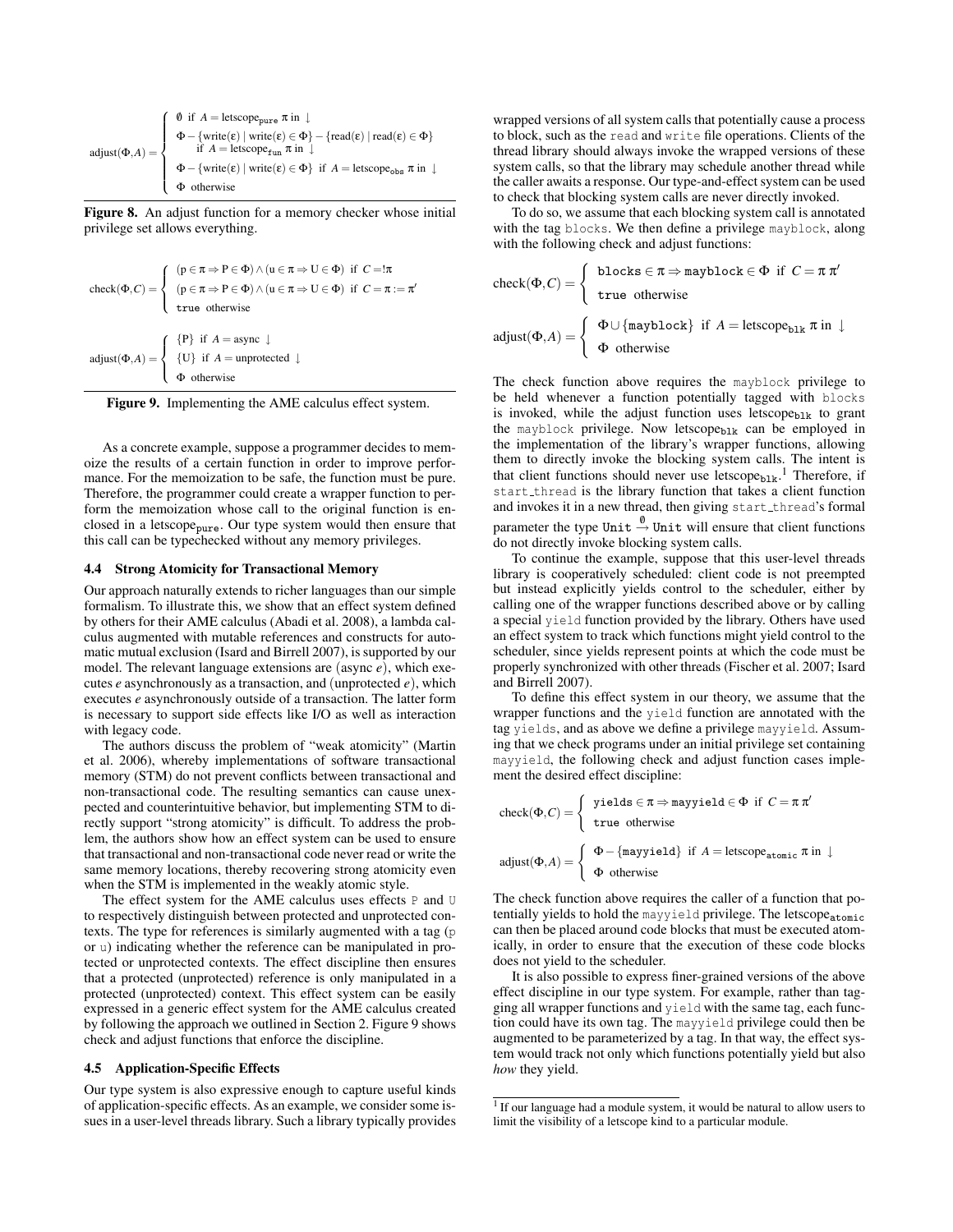$$
\text{adjust}(\Phi, A) = \left\{ \begin{array}{l} \emptyset \ \text{if } A = \text{letscope}_{\text{pure}} \ \pi \ \text{in } \downarrow \\ \Phi - \{\text{write}(\epsilon) \mid \text{write}(\epsilon) \in \Phi\} - \{\text{read}(\epsilon) \mid \text{read}(\epsilon) \in \Phi\} \\ \quad \text{if } A = \text{letscope}_{\text{fun}} \ \pi \ \text{in } \downarrow \\ \Phi - \{\text{write}(\epsilon) \mid \text{write}(\epsilon) \in \Phi\} \ \text{if } A = \text{letscope}_{\text{obs}} \ \pi \ \text{in } \downarrow \\ \Phi \ \text{otherwise} \end{array} \right.
$$

Figure 8. An adjust function for a memory checker whose initial privilege set allows everything.

$$
\text{check}(\Phi, C) = \begin{cases} (p \in \pi \Rightarrow P \in \Phi) \land (u \in \pi \Rightarrow U \in \Phi) \text{ if } C = !\pi \\ (p \in \pi \Rightarrow P \in \Phi) \land (u \in \pi \Rightarrow U \in \Phi) \text{ if } C = \pi := \pi' \\ \text{true otherwise} \end{cases}
$$

$$
\text{adjust}(\Phi, A) = \begin{cases} \{P\} \text{ if } A = \text{async } \downarrow \\ \{U\} \text{ if } A = \text{unprotected } \downarrow \\ \Phi \text{ otherwise} \end{cases}
$$

Figure 9. Implementing the AME calculus effect system.

As a concrete example, suppose a programmer decides to memoize the results of a certain function in order to improve performance. For the memoization to be safe, the function must be pure. Therefore, the programmer could create a wrapper function to perform the memoization whose call to the original function is enclosed in a letscope<sub>pure</sub>. Our type system would then ensure that this call can be typechecked without any memory privileges.

#### 4.4 Strong Atomicity for Transactional Memory

Our approach naturally extends to richer languages than our simple formalism. To illustrate this, we show that an effect system defined by others for their AME calculus (Abadi et al. 2008), a lambda calculus augmented with mutable references and constructs for automatic mutual exclusion (Isard and Birrell 2007), is supported by our model. The relevant language extensions are (async *e*), which executes *e* asynchronously as a transaction, and (unprotected *e*), which executes *e* asynchronously outside of a transaction. The latter form is necessary to support side effects like I/O as well as interaction with legacy code.

The authors discuss the problem of "weak atomicity" (Martin et al. 2006), whereby implementations of software transactional memory (STM) do not prevent conflicts between transactional and non-transactional code. The resulting semantics can cause unexpected and counterintuitive behavior, but implementing STM to directly support "strong atomicity" is difficult. To address the problem, the authors show how an effect system can be used to ensure that transactional and non-transactional code never read or write the same memory locations, thereby recovering strong atomicity even when the STM is implemented in the weakly atomic style.

The effect system for the AME calculus uses effects P and U to respectively distinguish between protected and unprotected contexts. The type for references is similarly augmented with a tag (p or u) indicating whether the reference can be manipulated in protected or unprotected contexts. The effect discipline then ensures that a protected (unprotected) reference is only manipulated in a protected (unprotected) context. This effect system can be easily expressed in a generic effect system for the AME calculus created by following the approach we outlined in Section 2. Figure 9 shows check and adjust functions that enforce the discipline.

## 4.5 Application-Specific Effects

Our type system is also expressive enough to capture useful kinds of application-specific effects. As an example, we consider some issues in a user-level threads library. Such a library typically provides

wrapped versions of all system calls that potentially cause a process to block, such as the read and write file operations. Clients of the thread library should always invoke the wrapped versions of these system calls, so that the library may schedule another thread while the caller awaits a response. Our type-and-effect system can be used to check that blocking system calls are never directly invoked.

To do so, we assume that each blocking system call is annotated with the tag blocks. We then define a privilege mayblock, along with the following check and adjust functions:

$$
\text{check}(\Phi, C) = \begin{cases} \text{blocks} \in \pi \Rightarrow \text{maybe} \in \Phi \text{ if } C = \pi \pi' \\ \text{true otherwise} \end{cases}
$$
  
adjust( $\Phi, A$ ) = 
$$
\begin{cases} \Phi \cup \{\text{maybe}\} & \text{if } A = \text{letscope}_{\text{blk}} \pi \text{ in } \downarrow \\ \Phi & \text{otherwise} \end{cases}
$$

The check function above requires the mayblock privilege to be held whenever a function potentially tagged with blocks is invoked, while the adjust function uses letscope<sub>blk</sub> to grant the mayblock privilege. Now letscope $_{b1k}$  can be employed in the implementation of the library's wrapper functions, allowing them to directly invoke the blocking system calls. The intent is that client functions should never use letscope<sub>blk</sub>.<sup>1</sup> Therefore, if start thread is the library function that takes a client function and invokes it in a new thread, then giving start\_thread's formal parameter the type Unit  $\stackrel{\emptyset}{\rightarrow}$  Unit will ensure that client functions do not directly invoke blocking system calls.

To continue the example, suppose that this user-level threads library is cooperatively scheduled: client code is not preempted but instead explicitly yields control to the scheduler, either by calling one of the wrapper functions described above or by calling a special yield function provided by the library. Others have used an effect system to track which functions might yield control to the scheduler, since yields represent points at which the code must be properly synchronized with other threads (Fischer et al. 2007; Isard and Birrell 2007).

To define this effect system in our theory, we assume that the wrapper functions and the yield function are annotated with the tag yields, and as above we define a privilege mayyield. Assuming that we check programs under an initial privilege set containing mayyield, the following check and adjust function cases implement the desired effect discipline:

$$
\text{check}(\Phi, C) = \begin{cases} \text{ yields } \in \pi \Rightarrow \text{mayyield} \in \Phi \text{ if } C = \pi \pi' \\ \text{true otherwise} \end{cases}
$$
  
adjust( $\Phi, A$ ) = 
$$
\begin{cases} \Phi - \{\text{mayyield}\} & \text{if } A = \text{letscope}_{\text{atomic}} \pi \text{ in } \downarrow \\ \Phi \text{ otherwise} \end{cases}
$$

The check function above requires the caller of a function that potentially yields to hold the mayyield privilege. The letscope<sub>atomic</sub> can then be placed around code blocks that must be executed atomically, in order to ensure that the execution of these code blocks does not yield to the scheduler.

It is also possible to express finer-grained versions of the above effect discipline in our type system. For example, rather than tagging all wrapper functions and yield with the same tag, each function could have its own tag. The mayyield privilege could then be augmented to be parameterized by a tag. In that way, the effect system would track not only which functions potentially yield but also *how* they yield.

<sup>&</sup>lt;sup>1</sup> If our language had a module system, it would be natural to allow users to limit the visibility of a letscope kind to a particular module.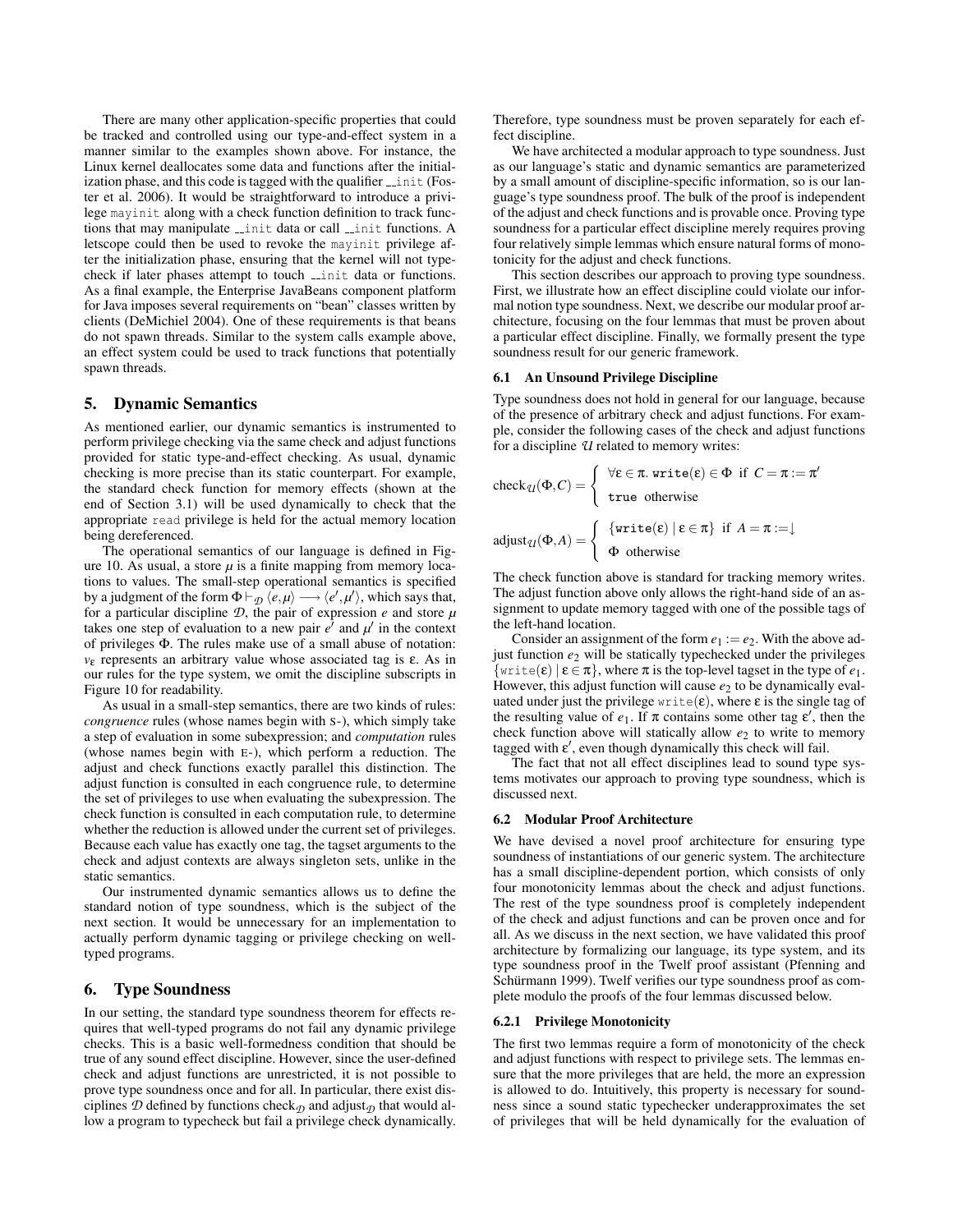There are many other application-specific properties that could be tracked and controlled using our type-and-effect system in a manner similar to the examples shown above. For instance, the Linux kernel deallocates some data and functions after the initialization phase, and this code is tagged with the qualifier  $\overline{\phantom{a}}$  init (Foster et al. 2006). It would be straightforward to introduce a privilege mayinit along with a check function definition to track functions that may manipulate *\_init data or call \_init functions*. A letscope could then be used to revoke the mayinit privilege after the initialization phase, ensuring that the kernel will not typecheck if later phases attempt to touch *\_init* data or functions. As a final example, the Enterprise JavaBeans component platform for Java imposes several requirements on "bean" classes written by clients (DeMichiel 2004). One of these requirements is that beans do not spawn threads. Similar to the system calls example above, an effect system could be used to track functions that potentially spawn threads.

## 5. Dynamic Semantics

As mentioned earlier, our dynamic semantics is instrumented to perform privilege checking via the same check and adjust functions provided for static type-and-effect checking. As usual, dynamic checking is more precise than its static counterpart. For example, the standard check function for memory effects (shown at the end of Section 3.1) will be used dynamically to check that the appropriate read privilege is held for the actual memory location being dereferenced.

The operational semantics of our language is defined in Figure 10. As usual, a store  $\mu$  is a finite mapping from memory locations to values. The small-step operational semantics is specified by a judgment of the form  $\Phi \vdash_{\mathcal{D}} \langle e, \mu \rangle \longrightarrow \langle e', \mu' \rangle$ , which says that, for a particular discipline  $D$ , the pair of expression  $e$  and store  $\mu$ takes one step of evaluation to a new pair  $e^{\lambda}$  and  $\mu'$  in the context of privileges Φ. The rules make use of a small abuse of notation: *v*<sup>ε</sup> represents an arbitrary value whose associated tag is ε. As in our rules for the type system, we omit the discipline subscripts in Figure 10 for readability.

As usual in a small-step semantics, there are two kinds of rules: *congruence* rules (whose names begin with S-), which simply take a step of evaluation in some subexpression; and *computation* rules (whose names begin with E-), which perform a reduction. The adjust and check functions exactly parallel this distinction. The adjust function is consulted in each congruence rule, to determine the set of privileges to use when evaluating the subexpression. The check function is consulted in each computation rule, to determine whether the reduction is allowed under the current set of privileges. Because each value has exactly one tag, the tagset arguments to the check and adjust contexts are always singleton sets, unlike in the static semantics.

Our instrumented dynamic semantics allows us to define the standard notion of type soundness, which is the subject of the next section. It would be unnecessary for an implementation to actually perform dynamic tagging or privilege checking on welltyped programs.

# 6. Type Soundness

In our setting, the standard type soundness theorem for effects requires that well-typed programs do not fail any dynamic privilege checks. This is a basic well-formedness condition that should be true of any sound effect discipline. However, since the user-defined check and adjust functions are unrestricted, it is not possible to prove type soundness once and for all. In particular, there exist disciplines  $D$  defined by functions check<sub> $D$ </sub> and adjust<sub> $D$ </sub> that would allow a program to typecheck but fail a privilege check dynamically.

Therefore, type soundness must be proven separately for each effect discipline.

We have architected a modular approach to type soundness. Just as our language's static and dynamic semantics are parameterized by a small amount of discipline-specific information, so is our language's type soundness proof. The bulk of the proof is independent of the adjust and check functions and is provable once. Proving type soundness for a particular effect discipline merely requires proving four relatively simple lemmas which ensure natural forms of monotonicity for the adjust and check functions.

This section describes our approach to proving type soundness. First, we illustrate how an effect discipline could violate our informal notion type soundness. Next, we describe our modular proof architecture, focusing on the four lemmas that must be proven about a particular effect discipline. Finally, we formally present the type soundness result for our generic framework.

# 6.1 An Unsound Privilege Discipline

Type soundness does not hold in general for our language, because of the presence of arbitrary check and adjust functions. For example, consider the following cases of the check and adjust functions for a discipline *U* related to memory writes:

$$
\operatorname{check}_{\mathcal{U}}(\Phi, C) = \begin{cases} \forall \varepsilon \in \pi. \text{ write}(\varepsilon) \in \Phi \text{ if } C = \pi := \pi' \\ \text{true otherwise} \end{cases}
$$
  
adjust <sub>$\mathcal{U}(\Phi, A) = \begin{cases} \{\text{write}(\varepsilon) \mid \varepsilon \in \pi\} & \text{if } A = \pi := \downarrow \\ \Phi \text{ otherwise} \end{cases}$</sub> 

The check function above is standard for tracking memory writes. The adjust function above only allows the right-hand side of an assignment to update memory tagged with one of the possible tags of the left-hand location.

Consider an assignment of the form  $e_1 := e_2$ . With the above adjust function *e*<sup>2</sup> will be statically typechecked under the privileges  $\{write(\varepsilon) | \varepsilon \in \pi\}$ , where  $\pi$  is the top-level tagset in the type of  $e_1$ . However, this adjust function will cause  $e_2$  to be dynamically evaluated under just the privilege write( $\varepsilon$ ), where  $\varepsilon$  is the single tag of the resulting value of  $e_1$ . If  $\pi$  contains some other tag  $\varepsilon'$ , then the check function above will statically allow  $e_2$  to write to memory tagged with  $\varepsilon'$ , even though dynamically this check will fail.

The fact that not all effect disciplines lead to sound type systems motivates our approach to proving type soundness, which is discussed next.

#### 6.2 Modular Proof Architecture

We have devised a novel proof architecture for ensuring type soundness of instantiations of our generic system. The architecture has a small discipline-dependent portion, which consists of only four monotonicity lemmas about the check and adjust functions. The rest of the type soundness proof is completely independent of the check and adjust functions and can be proven once and for all. As we discuss in the next section, we have validated this proof architecture by formalizing our language, its type system, and its type soundness proof in the Twelf proof assistant (Pfenning and Schürmann 1999). Twelf verifies our type soundness proof as complete modulo the proofs of the four lemmas discussed below.

#### 6.2.1 Privilege Monotonicity

The first two lemmas require a form of monotonicity of the check and adjust functions with respect to privilege sets. The lemmas ensure that the more privileges that are held, the more an expression is allowed to do. Intuitively, this property is necessary for soundness since a sound static typechecker underapproximates the set of privileges that will be held dynamically for the evaluation of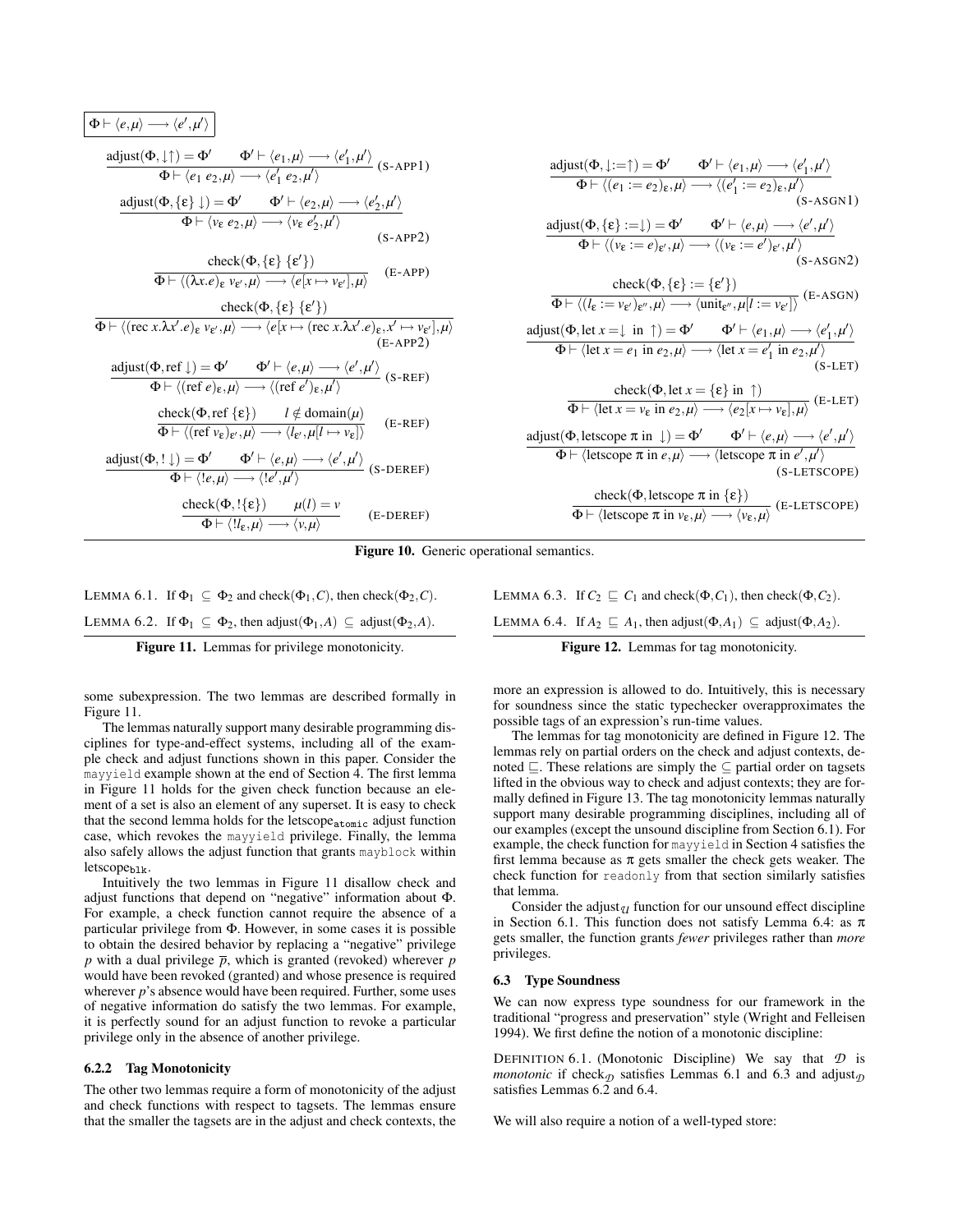$$
\Phi \vdash \langle e, \mu \rangle \longrightarrow \langle e', \mu' \rangle
$$
\n
$$
\frac{\text{adjust}(\Phi, \downarrow \uparrow) = \Phi' \qquad \Phi' \vdash \langle e_1, \mu \rangle \longrightarrow \langle e'_1, \mu' \rangle}{\Phi \vdash \langle e_1 e_2, \mu \rangle \longrightarrow \langle e'_1 e_2, \mu' \rangle} \quad \text{(S-APP1)}
$$
\n
$$
\frac{\text{adjust}(\Phi, \{ \varepsilon \} \downarrow) = \Phi' \qquad \Phi' \vdash \langle e_2, \mu \rangle \longrightarrow \langle e'_2, \mu' \rangle}{\Phi \vdash \langle v_{\varepsilon} e_2, \mu \rangle \longrightarrow \langle v_{\varepsilon} e'_2, \mu' \rangle} \quad \text{(S-APP2)}
$$
\n
$$
\frac{\text{check}(\Phi, \{ \varepsilon \} \{ \varepsilon' \})}{\Phi \vdash \langle (\lambda x. e)_{\varepsilon} v_{\varepsilon', \mu} \rangle \longrightarrow \langle e[x \mapsto v_{\varepsilon'}], \mu \rangle} \quad \text{(E-APP)}
$$
\n
$$
\frac{\text{check}(\Phi, \{ \varepsilon \} \{ \varepsilon' \})}{\Phi \vdash \langle (\text{rec } x. \lambda x'. e)_{\varepsilon} v_{\varepsilon', \mu} \rangle \longrightarrow \langle e[x \mapsto (\text{rec } x. \lambda x'. e)_{\varepsilon, x' \mapsto v_{\varepsilon'}}, \mu \rangle} \quad \text{(E-APP2)}
$$
\n
$$
\frac{\text{adjust}(\Phi, \text{ref } \downarrow) = \Phi' \qquad \Phi' \vdash \langle e, \mu \rangle \longrightarrow \langle e', \mu' \rangle}{\Phi \vdash \langle (\text{ref } e)_{\varepsilon, \mu} \rangle \longrightarrow \langle (\text{ref } e')_{\varepsilon, \mu'} \rangle} \quad \text{(S-REF)}
$$
\n
$$
\frac{\text{check}(\Phi, \text{ref } \{ \varepsilon \}) \qquad l \notin \text{domain}(\mu)}{\Phi \vdash \langle (\text{ref } v_{\varepsilon})_{\varepsilon', \mu} \rangle \longrightarrow \langle e', \mu' \rangle} \quad \text{(E-REF)}
$$
\n
$$
\frac{\text{adjust}(\Phi, \downarrow \downarrow) = \Phi' \qquad \Phi' \vdash \langle e, \mu \rangle \longrightarrow \langle e', \mu' \rangle}{\Phi \vdash
$$

$$
adjust(\Phi, \downarrow:=\uparrow) = \Phi' \qquad \Phi' \vdash \langle e_1, \mu \rangle \longrightarrow \langle e'_1, \mu' \rangle
$$
\n
$$
\Phi \vdash \langle (e_1 := e_2)_{\epsilon}, \mu \rangle \longrightarrow \langle (e'_1 := e_2)_{\epsilon}, \mu' \rangle
$$
\n(s-ASGN1)  
\n
$$
adjust(\Phi, \{ε\} := \downarrow) = \Phi' \qquad \Phi' \vdash \langle e, \mu \rangle \longrightarrow \langle e', \mu' \rangle
$$
\n(s-ASGN2)  
\n
$$
\Phi \vdash \langle (v_{\epsilon} := e)_{\epsilon'}, \mu \rangle \longrightarrow \langle (v_{\epsilon} := e')_{\epsilon'}, \mu' \rangle
$$
\n(s-ASGN2)  
\n
$$
\Phi \vdash \langle (l_{\epsilon} := v_{\epsilon'})_{\epsilon'', \mu} \rangle \longrightarrow \langle unit_{\epsilon'', \mu}[l := v_{\epsilon'}] \rangle
$$
\n(E-ASGN)  
\n
$$
adjust(\Phi, let x = \downarrow in \uparrow) = \Phi' \qquad \Phi' \vdash \langle e_1, \mu \rangle \longrightarrow \langle e'_1, \mu' \rangle
$$
\n
$$
\Phi \vdash \langle let x = e_1 in e_2, \mu \rangle \longrightarrow \langle let x = e'_1 in e_2, \mu' \rangle
$$
\n(s-LET)  
\n
$$
\Phi \vdash \langle let x = v_{\epsilon} in e_2, \mu \rangle \longrightarrow \langle e_2[x \mapsto v_{\epsilon}], \mu \rangle
$$
\n(E-LET)  
\n
$$
adjust(\Phi, let \phi) = \pi in e, \mu \rangle \longrightarrow \langle e_2[x \mapsto v_{\epsilon}], \mu \rangle
$$
\n(s-LETSCOPE)  
\n
$$
\frac{check(\Phi, let \phi) = \pi in e, \mu} \longrightarrow \langle let \phi) \longrightarrow \langle e', \mu' \rangle
$$
\n(s-LETSCOPE)  
\n
$$
\frac{check(\Phi, let \phi) = \pi in e, \mu} \longrightarrow \langle t \in \{ \epsilon \} \rangle
$$
\n(E-LETSCOPE)  
\n
$$
\frac{check(\Phi, let \phi) = \pi in v_{\epsilon}, \mu} \longrightarrow \langle e_1, \mu \rangle \longrightarrow \langle e_2, \mu \rangle
$$

Figure 10. Generic operational semantics.

LEMMA 6.1. If  $\Phi_1 \subseteq \Phi_2$  and check( $\Phi_1$ , C), then check( $\Phi_2$ , C). LEMMA 6.2. If  $\Phi_1 \subseteq \Phi_2$ , then adjust $(\Phi_1, A) \subseteq$  adjust $(\Phi_2, A)$ .

Figure 11. Lemmas for privilege monotonicity.

some subexpression. The two lemmas are described formally in Figure 11.

The lemmas naturally support many desirable programming disciplines for type-and-effect systems, including all of the example check and adjust functions shown in this paper. Consider the mayyield example shown at the end of Section 4. The first lemma in Figure 11 holds for the given check function because an element of a set is also an element of any superset. It is easy to check that the second lemma holds for the letscope<sub>atomic</sub> adjust function case, which revokes the mayyield privilege. Finally, the lemma also safely allows the adjust function that grants mayblock within  $letscope_{b1k}.$ 

Intuitively the two lemmas in Figure 11 disallow check and adjust functions that depend on "negative" information about Φ. For example, a check function cannot require the absence of a particular privilege from Φ. However, in some cases it is possible to obtain the desired behavior by replacing a "negative" privilege *p* with a dual privilege  $\bar{p}$ , which is granted (revoked) wherever *p* would have been revoked (granted) and whose presence is required wherever *p*'s absence would have been required. Further, some uses of negative information do satisfy the two lemmas. For example, it is perfectly sound for an adjust function to revoke a particular privilege only in the absence of another privilege.

## 6.2.2 Tag Monotonicity

The other two lemmas require a form of monotonicity of the adjust and check functions with respect to tagsets. The lemmas ensure that the smaller the tagsets are in the adjust and check contexts, the LEMMA 6.3. If  $C_2 \sqsubset C_1$  and check( $\Phi$ , $C_1$ ), then check( $\Phi$ , $C_2$ ).

LEMMA 6.4. If  $A_2 \subseteq A_1$ , then adjust( $\Phi$ , $A_1$ )  $\subseteq$  adjust( $\Phi$ , $A_2$ ).

Figure 12. Lemmas for tag monotonicity.

more an expression is allowed to do. Intuitively, this is necessary for soundness since the static typechecker overapproximates the possible tags of an expression's run-time values.

The lemmas for tag monotonicity are defined in Figure 12. The lemmas rely on partial orders on the check and adjust contexts, denoted  $\sqsubseteq$ . These relations are simply the  $\subseteq$  partial order on tagsets lifted in the obvious way to check and adjust contexts; they are formally defined in Figure 13. The tag monotonicity lemmas naturally support many desirable programming disciplines, including all of our examples (except the unsound discipline from Section 6.1). For example, the check function for mayyield in Section 4 satisfies the first lemma because as  $\pi$  gets smaller the check gets weaker. The check function for readonly from that section similarly satisfies that lemma.

Consider the adjust<sub> $U$ </sub> function for our unsound effect discipline in Section 6.1. This function does not satisfy Lemma 6.4: as  $\pi$ gets smaller, the function grants *fewer* privileges rather than *more* privileges.

#### 6.3 Type Soundness

We can now express type soundness for our framework in the traditional "progress and preservation" style (Wright and Felleisen 1994). We first define the notion of a monotonic discipline:

DEFINITION 6.1. (Monotonic Discipline) We say that *D* is *monotonic* if check<sub> $D$ </sub> satisfies Lemmas 6.1 and 6.3 and adjust<sub> $D$ </sub> satisfies Lemmas 6.2 and 6.4.

We will also require a notion of a well-typed store: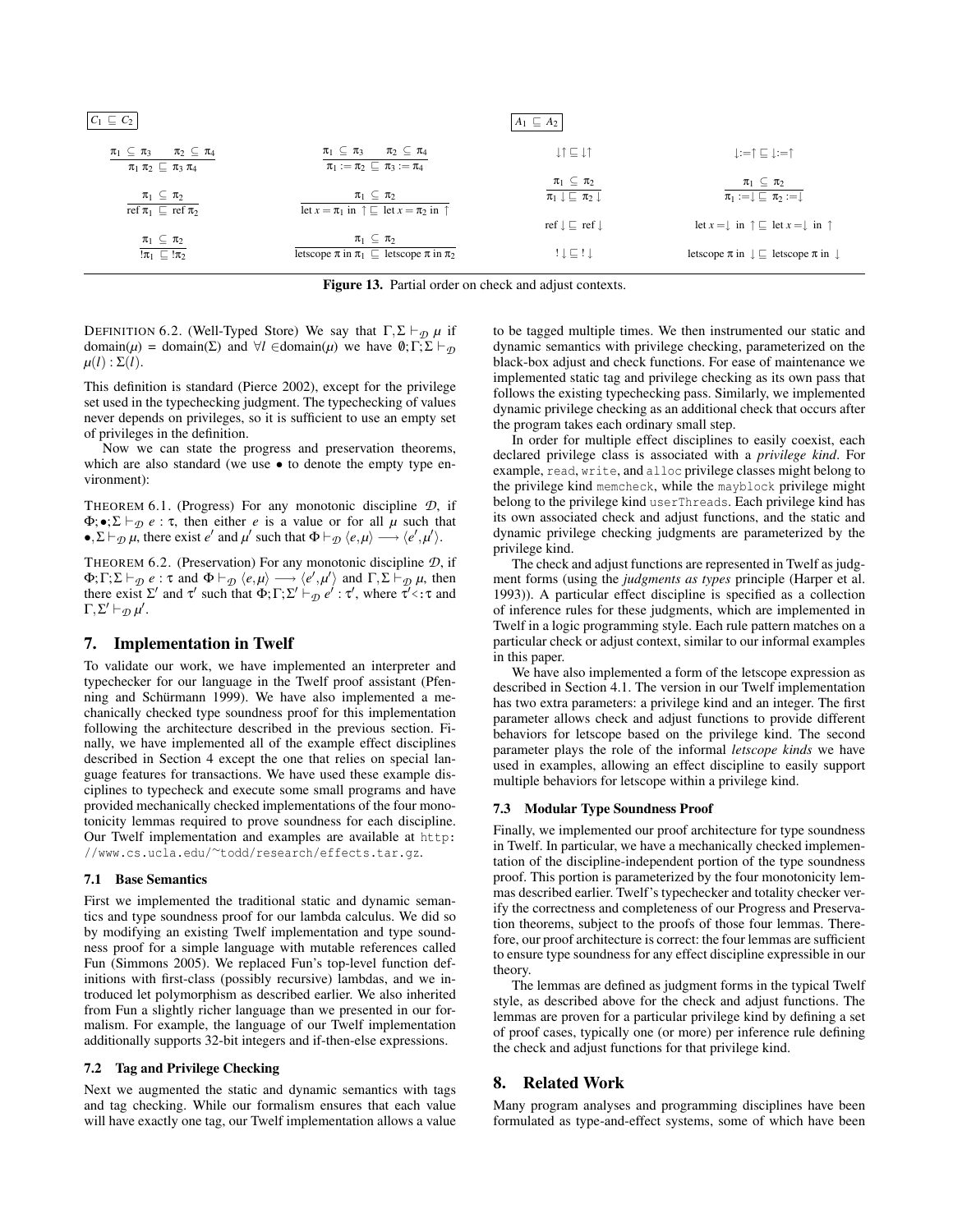| $C_1 \sqsubseteq C_2$                                                                    |                                                                                                | $A_1 \subseteq A_2$                                                        |                                                                                  |
|------------------------------------------------------------------------------------------|------------------------------------------------------------------------------------------------|----------------------------------------------------------------------------|----------------------------------------------------------------------------------|
| $\pi_1 \subseteq \pi_3$ $\pi_2 \subseteq \pi_4$<br>$\pi_1 \pi_2 \sqsubseteq \pi_3 \pi_4$ | $\pi_1 \subseteq \pi_3$ $\pi_2 \subseteq \pi_4$<br>$\pi_1 := \pi_2 \sqsubseteq \pi_3 := \pi_4$ | $LT = LT$                                                                  | $\downarrow:=\uparrow\sqsubseteq\downarrow:=\uparrow$                            |
| $\pi_1 \subseteq \pi_2$<br>ref $\pi_1 \sqsubseteq \overline{\text{ref }\pi_2}$           | $\pi_1 \subseteq \pi_2$<br>let $x = \pi_1$ in $\uparrow \square$ let $x = \pi_2$ in $\uparrow$ | $\pi_1 \subseteq \pi_2$<br>$\pi_1 \downarrow \sqsubseteq \pi_2 \downarrow$ | $\pi_1 \subseteq \pi_2$<br>$\pi_1 := \downarrow \sqsubseteq \pi_2 := \downarrow$ |
|                                                                                          |                                                                                                | $ref \perp \sqsubset ref \perp$                                            | let $x = \perp$ in $\uparrow \square$ let $x = \perp$ in $\uparrow$              |
| $\pi_1 \subseteq \pi_2$<br>$!\pi_1 \sqsubseteq \mathsf{I}\pi_2$                          | $\pi_1 \subseteq \pi_2$<br>letscope $\pi$ in $\pi_1 \sqsubseteq$ letscope $\pi$ in $\pi_2$     | $! \downarrow \sqsubseteq ! \downarrow$                                    | letscope $\pi$ in $\downarrow \sqsubseteq$ letscope $\pi$ in $\downarrow$        |

Figure 13. Partial order on check and adjust contexts.

DEFINITION 6.2. (Well-Typed Store) We say that  $\Gamma$ ,  $\Sigma \vdash_{\mathcal{D}} \mu$  if domain( $\mu$ ) = domain( $\Sigma$ ) and  $\forall l \in \text{domain}(\mu)$  we have  $\emptyset; \Gamma; \Sigma \vdash_{\mathcal{D}}$  $\mu(l): \Sigma(l).$ 

This definition is standard (Pierce 2002), except for the privilege set used in the typechecking judgment. The typechecking of values never depends on privileges, so it is sufficient to use an empty set of privileges in the definition.

Now we can state the progress and preservation theorems, which are also standard (we use  $\bullet$  to denote the empty type environment):

THEOREM 6.1. (Progress) For any monotonic discipline *D*, if  $\Phi$ ;  $\bullet$ ;  $\Sigma \vdash_{\mathcal{D}} e$ :  $\tau$ , then either *e* is a value or for all  $\mu$  such that  $\bullet$ ,  $\Sigma \vdash_{\mathcal{D}} \mu$ , there exist *e'* and  $\mu'$  such that  $\Phi \vdash_{\mathcal{D}} \langle e, \mu \rangle \longrightarrow \langle e', \mu' \rangle$ .

THEOREM 6.2. (Preservation) For any monotonic discipline *D*, if  $\Phi$ ;  $\Gamma$ ;  $\Sigma \vdash_{\mathcal{D}} e$  :  $\tau$  and  $\Phi \vdash_{\mathcal{D}} \langle e, \mu \rangle \longrightarrow \langle e', \mu' \rangle$  and  $\Gamma$ ,  $\Sigma \vdash_{\mathcal{D}} \mu$ , then there exist  $\Sigma'$  and  $\tau'$  such that  $\Phi$ ;  $\Gamma$ ;  $\Sigma' \vdash_{\mathcal{D}} e' : \tau'$ , where  $\tau' \leq \tau$  and Γ,  $\Sigma' \vdash_{\mathcal{D}} \mu'.$ 

# 7. Implementation in Twelf

To validate our work, we have implemented an interpreter and typechecker for our language in the Twelf proof assistant (Pfenning and Schürmann 1999). We have also implemented a mechanically checked type soundness proof for this implementation following the architecture described in the previous section. Finally, we have implemented all of the example effect disciplines described in Section 4 except the one that relies on special language features for transactions. We have used these example disciplines to typecheck and execute some small programs and have provided mechanically checked implementations of the four monotonicity lemmas required to prove soundness for each discipline. Our Twelf implementation and examples are available at http: //www.cs.ucla.edu/∼todd/research/effects.tar.gz.

#### 7.1 Base Semantics

First we implemented the traditional static and dynamic semantics and type soundness proof for our lambda calculus. We did so by modifying an existing Twelf implementation and type soundness proof for a simple language with mutable references called Fun (Simmons 2005). We replaced Fun's top-level function definitions with first-class (possibly recursive) lambdas, and we introduced let polymorphism as described earlier. We also inherited from Fun a slightly richer language than we presented in our formalism. For example, the language of our Twelf implementation additionally supports 32-bit integers and if-then-else expressions.

## 7.2 Tag and Privilege Checking

Next we augmented the static and dynamic semantics with tags and tag checking. While our formalism ensures that each value will have exactly one tag, our Twelf implementation allows a value

to be tagged multiple times. We then instrumented our static and dynamic semantics with privilege checking, parameterized on the black-box adjust and check functions. For ease of maintenance we implemented static tag and privilege checking as its own pass that follows the existing typechecking pass. Similarly, we implemented dynamic privilege checking as an additional check that occurs after the program takes each ordinary small step.

In order for multiple effect disciplines to easily coexist, each declared privilege class is associated with a *privilege kind*. For example, read, write, and alloc privilege classes might belong to the privilege kind memcheck, while the mayblock privilege might belong to the privilege kind userThreads. Each privilege kind has its own associated check and adjust functions, and the static and dynamic privilege checking judgments are parameterized by the privilege kind.

The check and adjust functions are represented in Twelf as judgment forms (using the *judgments as types* principle (Harper et al. 1993)). A particular effect discipline is specified as a collection of inference rules for these judgments, which are implemented in Twelf in a logic programming style. Each rule pattern matches on a particular check or adjust context, similar to our informal examples in this paper.

We have also implemented a form of the letscope expression as described in Section 4.1. The version in our Twelf implementation has two extra parameters: a privilege kind and an integer. The first parameter allows check and adjust functions to provide different behaviors for letscope based on the privilege kind. The second parameter plays the role of the informal *letscope kinds* we have used in examples, allowing an effect discipline to easily support multiple behaviors for letscope within a privilege kind.

#### 7.3 Modular Type Soundness Proof

Finally, we implemented our proof architecture for type soundness in Twelf. In particular, we have a mechanically checked implementation of the discipline-independent portion of the type soundness proof. This portion is parameterized by the four monotonicity lemmas described earlier. Twelf's typechecker and totality checker verify the correctness and completeness of our Progress and Preservation theorems, subject to the proofs of those four lemmas. Therefore, our proof architecture is correct: the four lemmas are sufficient to ensure type soundness for any effect discipline expressible in our theory.

The lemmas are defined as judgment forms in the typical Twelf style, as described above for the check and adjust functions. The lemmas are proven for a particular privilege kind by defining a set of proof cases, typically one (or more) per inference rule defining the check and adjust functions for that privilege kind.

# 8. Related Work

Many program analyses and programming disciplines have been formulated as type-and-effect systems, some of which have been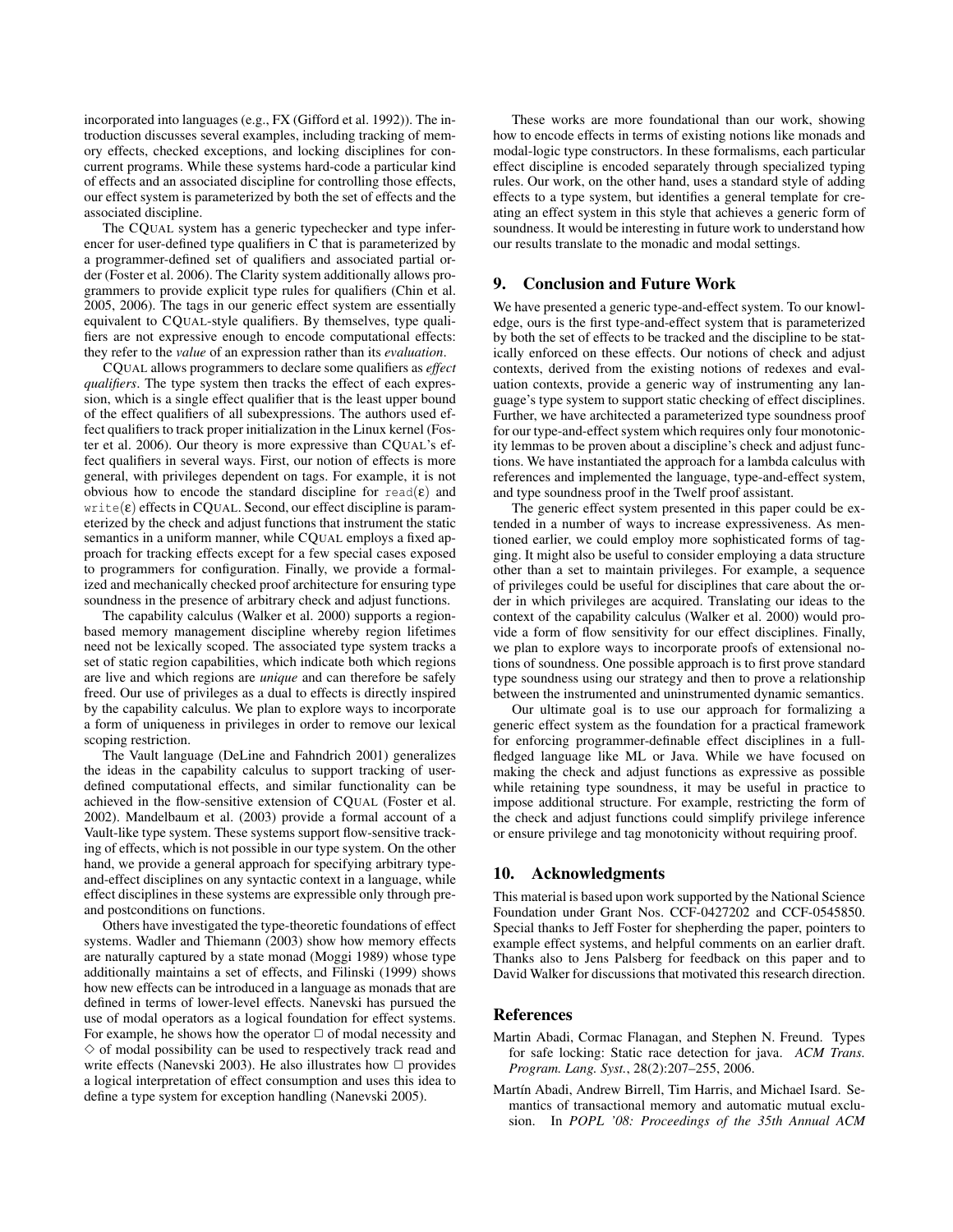incorporated into languages (e.g., FX (Gifford et al. 1992)). The introduction discusses several examples, including tracking of memory effects, checked exceptions, and locking disciplines for concurrent programs. While these systems hard-code a particular kind of effects and an associated discipline for controlling those effects, our effect system is parameterized by both the set of effects and the associated discipline.

The CQUAL system has a generic typechecker and type inferencer for user-defined type qualifiers in C that is parameterized by a programmer-defined set of qualifiers and associated partial order (Foster et al. 2006). The Clarity system additionally allows programmers to provide explicit type rules for qualifiers (Chin et al. 2005, 2006). The tags in our generic effect system are essentially equivalent to CQUAL-style qualifiers. By themselves, type qualifiers are not expressive enough to encode computational effects: they refer to the *value* of an expression rather than its *evaluation*.

CQUAL allows programmers to declare some qualifiers as *effect qualifiers*. The type system then tracks the effect of each expression, which is a single effect qualifier that is the least upper bound of the effect qualifiers of all subexpressions. The authors used effect qualifiers to track proper initialization in the Linux kernel (Foster et al. 2006). Our theory is more expressive than CQUAL's effect qualifiers in several ways. First, our notion of effects is more general, with privileges dependent on tags. For example, it is not obvious how to encode the standard discipline for read( $\varepsilon$ ) and  $write(\varepsilon)$  effects in CQUAL. Second, our effect discipline is parameterized by the check and adjust functions that instrument the static semantics in a uniform manner, while COUAL employs a fixed approach for tracking effects except for a few special cases exposed to programmers for configuration. Finally, we provide a formalized and mechanically checked proof architecture for ensuring type soundness in the presence of arbitrary check and adjust functions.

The capability calculus (Walker et al. 2000) supports a regionbased memory management discipline whereby region lifetimes need not be lexically scoped. The associated type system tracks a set of static region capabilities, which indicate both which regions are live and which regions are *unique* and can therefore be safely freed. Our use of privileges as a dual to effects is directly inspired by the capability calculus. We plan to explore ways to incorporate a form of uniqueness in privileges in order to remove our lexical scoping restriction.

The Vault language (DeLine and Fahndrich 2001) generalizes the ideas in the capability calculus to support tracking of userdefined computational effects, and similar functionality can be achieved in the flow-sensitive extension of CQUAL (Foster et al. 2002). Mandelbaum et al. (2003) provide a formal account of a Vault-like type system. These systems support flow-sensitive tracking of effects, which is not possible in our type system. On the other hand, we provide a general approach for specifying arbitrary typeand-effect disciplines on any syntactic context in a language, while effect disciplines in these systems are expressible only through preand postconditions on functions.

Others have investigated the type-theoretic foundations of effect systems. Wadler and Thiemann (2003) show how memory effects are naturally captured by a state monad (Moggi 1989) whose type additionally maintains a set of effects, and Filinski (1999) shows how new effects can be introduced in a language as monads that are defined in terms of lower-level effects. Nanevski has pursued the use of modal operators as a logical foundation for effect systems. For example, he shows how the operator  $\Box$  of modal necessity and  $\diamond$  of modal possibility can be used to respectively track read and write effects (Nanevski 2003). He also illustrates how  $\Box$  provides a logical interpretation of effect consumption and uses this idea to define a type system for exception handling (Nanevski 2005).

These works are more foundational than our work, showing how to encode effects in terms of existing notions like monads and modal-logic type constructors. In these formalisms, each particular effect discipline is encoded separately through specialized typing rules. Our work, on the other hand, uses a standard style of adding effects to a type system, but identifies a general template for creating an effect system in this style that achieves a generic form of soundness. It would be interesting in future work to understand how our results translate to the monadic and modal settings.

## 9. Conclusion and Future Work

We have presented a generic type-and-effect system. To our knowledge, ours is the first type-and-effect system that is parameterized by both the set of effects to be tracked and the discipline to be statically enforced on these effects. Our notions of check and adjust contexts, derived from the existing notions of redexes and evaluation contexts, provide a generic way of instrumenting any language's type system to support static checking of effect disciplines. Further, we have architected a parameterized type soundness proof for our type-and-effect system which requires only four monotonicity lemmas to be proven about a discipline's check and adjust functions. We have instantiated the approach for a lambda calculus with references and implemented the language, type-and-effect system, and type soundness proof in the Twelf proof assistant.

The generic effect system presented in this paper could be extended in a number of ways to increase expressiveness. As mentioned earlier, we could employ more sophisticated forms of tagging. It might also be useful to consider employing a data structure other than a set to maintain privileges. For example, a sequence of privileges could be useful for disciplines that care about the order in which privileges are acquired. Translating our ideas to the context of the capability calculus (Walker et al. 2000) would provide a form of flow sensitivity for our effect disciplines. Finally, we plan to explore ways to incorporate proofs of extensional notions of soundness. One possible approach is to first prove standard type soundness using our strategy and then to prove a relationship between the instrumented and uninstrumented dynamic semantics.

Our ultimate goal is to use our approach for formalizing a generic effect system as the foundation for a practical framework for enforcing programmer-definable effect disciplines in a fullfledged language like ML or Java. While we have focused on making the check and adjust functions as expressive as possible while retaining type soundness, it may be useful in practice to impose additional structure. For example, restricting the form of the check and adjust functions could simplify privilege inference or ensure privilege and tag monotonicity without requiring proof.

# 10. Acknowledgments

This material is based upon work supported by the National Science Foundation under Grant Nos. CCF-0427202 and CCF-0545850. Special thanks to Jeff Foster for shepherding the paper, pointers to example effect systems, and helpful comments on an earlier draft. Thanks also to Jens Palsberg for feedback on this paper and to David Walker for discussions that motivated this research direction.

## **References**

- Martin Abadi, Cormac Flanagan, and Stephen N. Freund. Types for safe locking: Static race detection for java. *ACM Trans. Program. Lang. Syst.*, 28(2):207–255, 2006.
- Martín Abadi, Andrew Birrell, Tim Harris, and Michael Isard. Semantics of transactional memory and automatic mutual exclusion. In *POPL '08: Proceedings of the 35th Annual ACM*